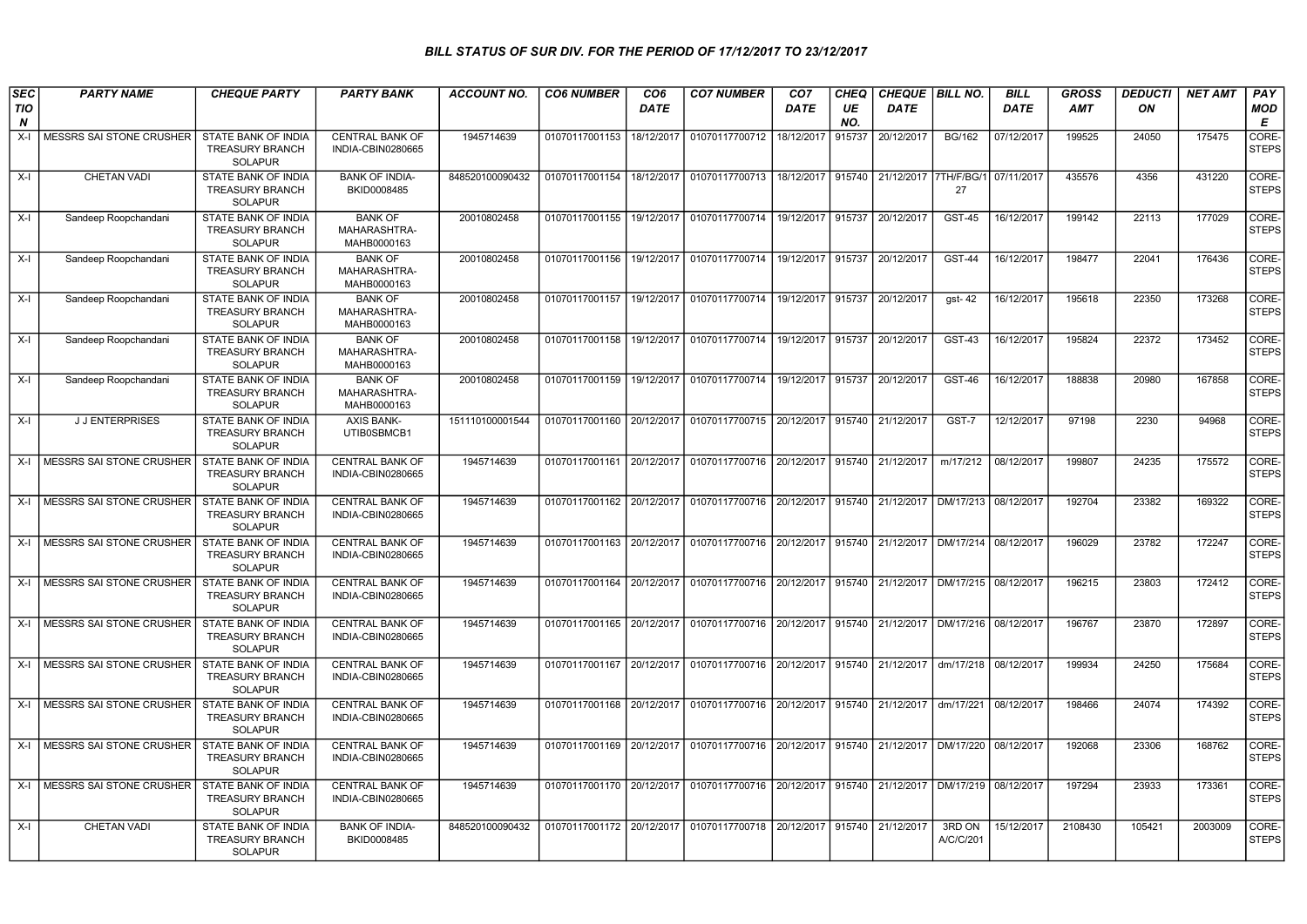## BILL STATUS OF SUR DIV. FOR THE PERIOD OF 17/12/2017 TO 23/12/2017

| SEC                            | <b>PARTY NAME</b>               | <b>CHEQUE PARTY</b>                                                    | <b>PARTY BANK</b>                             | <b>ACCOUNT NO.</b> | <b>CO6 NUMBER</b>         | CO <sub>6</sub> | <b>CO7 NUMBER</b>                                   | CO <sub>7</sub> | CHEQ      | CHEQUE   BILL NO. |                     | <b>BILL</b> | <b>GROSS</b> | <b>DEDUCTI</b> | <b>NET AMT</b> | <b>PAY</b>            |
|--------------------------------|---------------------------------|------------------------------------------------------------------------|-----------------------------------------------|--------------------|---------------------------|-----------------|-----------------------------------------------------|-----------------|-----------|-------------------|---------------------|-------------|--------------|----------------|----------------|-----------------------|
| <b>TIO</b><br>$\boldsymbol{N}$ |                                 |                                                                        |                                               |                    |                           | <b>DATE</b>     |                                                     | <b>DATE</b>     | UE<br>NO. | <b>DATE</b>       |                     | <b>DATE</b> | AMT          | ON             |                | <b>MOD</b><br>E       |
| X-l                            | <b>MESSRS SAI STONE CRUSHER</b> | STATE BANK OF INDIA<br><b>TREASURY BRANCH</b><br><b>SOLAPUR</b>        | <b>CENTRAL BANK OF</b><br>INDIA-CBIN0280665   | 1945714639         | 01070117001153            | 18/12/2017      | 01070117700712                                      | 18/12/2017      | 915737    | 20/12/2017        | <b>BG/162</b>       | 07/12/2017  | 199525       | 24050          | 175475         | CORE-<br><b>STEPS</b> |
| $X-I$                          | CHETAN VADI                     | STATE BANK OF INDIA<br><b>TREASURY BRANCH</b><br><b>SOLAPUR</b>        | <b>BANK OF INDIA-</b><br>BKID0008485          | 848520100090432    | 01070117001154            | 18/12/2017      | 01070117700713                                      | 18/12/2017      | 915740    | 21/12/2017        | 7TH/F/BG/<br>27     | 07/11/2017  | 435576       | 4356           | 431220         | CORE-<br><b>STEPS</b> |
| $X-I$                          | Sandeep Roopchandani            | STATE BANK OF INDIA<br><b>TREASURY BRANCH</b><br><b>SOLAPUR</b>        | <b>BANK OF</b><br>MAHARASHTRA-<br>MAHB0000163 | 20010802458        | 01070117001155            | 19/12/2017      | 01070117700714                                      | 19/12/2017      | 915737    | 20/12/2017        | <b>GST-45</b>       | 16/12/2017  | 199142       | 22113          | 177029         | CORE-<br><b>STEPS</b> |
| $X-I$                          | Sandeep Roopchandani            | <b>STATE BANK OF INDIA</b><br><b>TREASURY BRANCH</b><br><b>SOLAPUR</b> | <b>BANK OF</b><br>MAHARASHTRA-<br>MAHB0000163 | 20010802458        | 01070117001156            | 19/12/2017      | 01070117700714                                      | 19/12/2017      | 915737    | 20/12/2017        | <b>GST-44</b>       | 16/12/2017  | 198477       | 22041          | 176436         | CORE-<br><b>STEPS</b> |
| $X-I$                          | Sandeep Roopchandani            | STATE BANK OF INDIA<br><b>TREASURY BRANCH</b><br>SOLAPUR               | <b>BANK OF</b><br>MAHARASHTRA-<br>MAHB0000163 | 20010802458        | 01070117001157            | 19/12/2017      | 01070117700714                                      | 19/12/2017      | 915737    | 20/12/2017        | gst-42              | 16/12/2017  | 195618       | 22350          | 173268         | CORE-<br><b>STEPS</b> |
| X-I                            | Sandeep Roopchandani            | STATE BANK OF INDIA<br>TREASURY BRANCH<br><b>SOLAPUR</b>               | <b>BANK OF</b><br>MAHARASHTRA-<br>MAHB0000163 | 20010802458        | 01070117001158            | 19/12/2017      | 01070117700714                                      | 19/12/2017      | 915737    | 20/12/2017        | GST-43              | 16/12/2017  | 195824       | 22372          | 173452         | CORE-<br><b>STEPS</b> |
| $X-I$                          | Sandeep Roopchandani            | STATE BANK OF INDIA<br><b>TREASURY BRANCH</b><br>SOLAPUR               | <b>BANK OF</b><br>MAHARASHTRA-<br>MAHB0000163 | 20010802458        | 01070117001159            |                 | 19/12/2017 01070117700714 19/12/2017                |                 | 915737    | 20/12/2017        | <b>GST-46</b>       | 16/12/2017  | 188838       | 20980          | 167858         | CORE-<br><b>STEPS</b> |
| $X-I$                          | <b>JJENTERPRISES</b>            | STATE BANK OF INDIA<br><b>TREASURY BRANCH</b><br><b>SOLAPUR</b>        | <b>AXIS BANK-</b><br>UTIB0SBMCB1              | 151110100001544    | 01070117001160            | 20/12/2017      | 01070117700715                                      | 20/12/2017      | 915740    | 21/12/2017        | GST-7               | 12/12/2017  | 97198        | 2230           | 94968          | CORE-<br><b>STEPS</b> |
|                                | X-I MESSRS SAI STONE CRUSHER    | STATE BANK OF INDIA<br><b>TREASURY BRANCH</b><br><b>SOLAPUR</b>        | <b>CENTRAL BANK OF</b><br>INDIA-CBIN0280665   | 1945714639         | 01070117001161            | 20/12/2017      | 01070117700716                                      | 20/12/2017      | 915740    | 21/12/2017        | m/17/212            | 08/12/2017  | 199807       | 24235          | 175572         | CORE-<br><b>STEPS</b> |
|                                | X-I   MESSRS SAI STONE CRUSHER  | STATE BANK OF INDIA<br><b>TREASURY BRANCH</b><br><b>SOLAPUR</b>        | CENTRAL BANK OF<br>INDIA-CBIN0280665          | 1945714639         | 01070117001162 20/12/2017 |                 | 01070117700716                                      | 20/12/2017      | 915740    | 21/12/2017        | DM/17/213           | 08/12/2017  | 192704       | 23382          | 169322         | CORE-<br><b>STEPS</b> |
|                                | X-I MESSRS SAI STONE CRUSHER    | STATE BANK OF INDIA<br><b>TREASURY BRANCH</b><br><b>SOLAPUR</b>        | <b>CENTRAL BANK OF</b><br>INDIA-CBIN0280665   | 1945714639         |                           |                 | 01070117001163 20/12/2017 01070117700716 20/12/2017 |                 |           | 915740 21/12/2017 | DM/17/214           | 08/12/2017  | 196029       | 23782          | 172247         | CORE-<br><b>STEPS</b> |
| $X-I$                          | <b>MESSRS SAI STONE CRUSHER</b> | STATE BANK OF INDIA<br><b>TREASURY BRANCH</b><br><b>SOLAPUR</b>        | <b>CENTRAL BANK OF</b><br>INDIA-CBIN0280665   | 1945714639         | 01070117001164            | 20/12/2017      | 01070117700716 20/12/2017                           |                 | 915740    | 21/12/2017        | DM/17/215           | 08/12/2017  | 196215       | 23803          | 172412         | CORE-<br><b>STEPS</b> |
| X-I                            | MESSRS SAI STONE CRUSHER        | STATE BANK OF INDIA<br><b>TREASURY BRANCH</b><br><b>SOLAPUR</b>        | CENTRAL BANK OF<br>INDIA-CBIN0280665          | 1945714639         | 01070117001165 20/12/2017 |                 | 01070117700716                                      | 20/12/2017      | 915740    | 21/12/2017        | DM/17/216           | 08/12/2017  | 196767       | 23870          | 172897         | CORE-<br><b>STEPS</b> |
|                                | X-I   MESSRS SAI STONE CRUSHER  | STATE BANK OF INDIA<br><b>TREASURY BRANCH</b><br><b>SOLAPUR</b>        | <b>CENTRAL BANK OF</b><br>INDIA-CBIN0280665   | 1945714639         | 01070117001167            | 20/12/2017      | 01070117700716 20/12/2017                           |                 | 915740    | 21/12/2017        | dm/17/218           | 08/12/2017  | 199934       | 24250          | 175684         | CORE-<br><b>STEPS</b> |
|                                | X-I   MESSRS SAI STONE CRUSHER  | STATE BANK OF INDIA<br><b>TREASURY BRANCH</b><br><b>SOLAPUR</b>        | <b>CENTRAL BANK OF</b><br>INDIA-CBIN0280665   | 1945714639         | 01070117001168 20/12/2017 |                 | 01070117700716 20/12/2017                           |                 | 915740    | 21/12/2017        | dm/17/221           | 08/12/2017  | 198466       | 24074          | 174392         | CORE-<br><b>STEPS</b> |
|                                | X-I   MESSRS SAI STONE CRUSHER  | STATE BANK OF INDIA<br>TREASURY BRANCH<br><b>SOLAPUR</b>               | CENTRAL BANK OF<br>INDIA-CBIN0280665          | 1945714639         | 01070117001169 20/12/2017 |                 | 01070117700716 20/12/2017                           |                 |           | 915740 21/12/2017 | DM/17/220           | 08/12/2017  | 192068       | 23306          | 168762         | CORE-<br><b>STEPS</b> |
|                                | X-I   MESSRS SAI STONE CRUSHER  | STATE BANK OF INDIA<br>TREASURY BRANCH<br><b>SOLAPUR</b>               | CENTRAL BANK OF<br>INDIA-CBIN0280665          | 1945714639         | 01070117001170 20/12/2017 |                 | 01070117700716                                      | 20/12/2017      | 915740    | 21/12/2017        | DM/17/219           | 08/12/2017  | 197294       | 23933          | 173361         | CORE-<br><b>STEPS</b> |
| X-I                            | CHETAN VADI                     | STATE BANK OF INDIA<br><b>TREASURY BRANCH</b><br><b>SOLAPUR</b>        | <b>BANK OF INDIA-</b><br>BKID0008485          | 848520100090432    |                           |                 | 01070117001172 20/12/2017 01070117700718 20/12/2017 |                 |           | 915740 21/12/2017 | 3RD ON<br>A/C/C/201 | 15/12/2017  | 2108430      | 105421         | 2003009        | CORE-<br><b>STEPS</b> |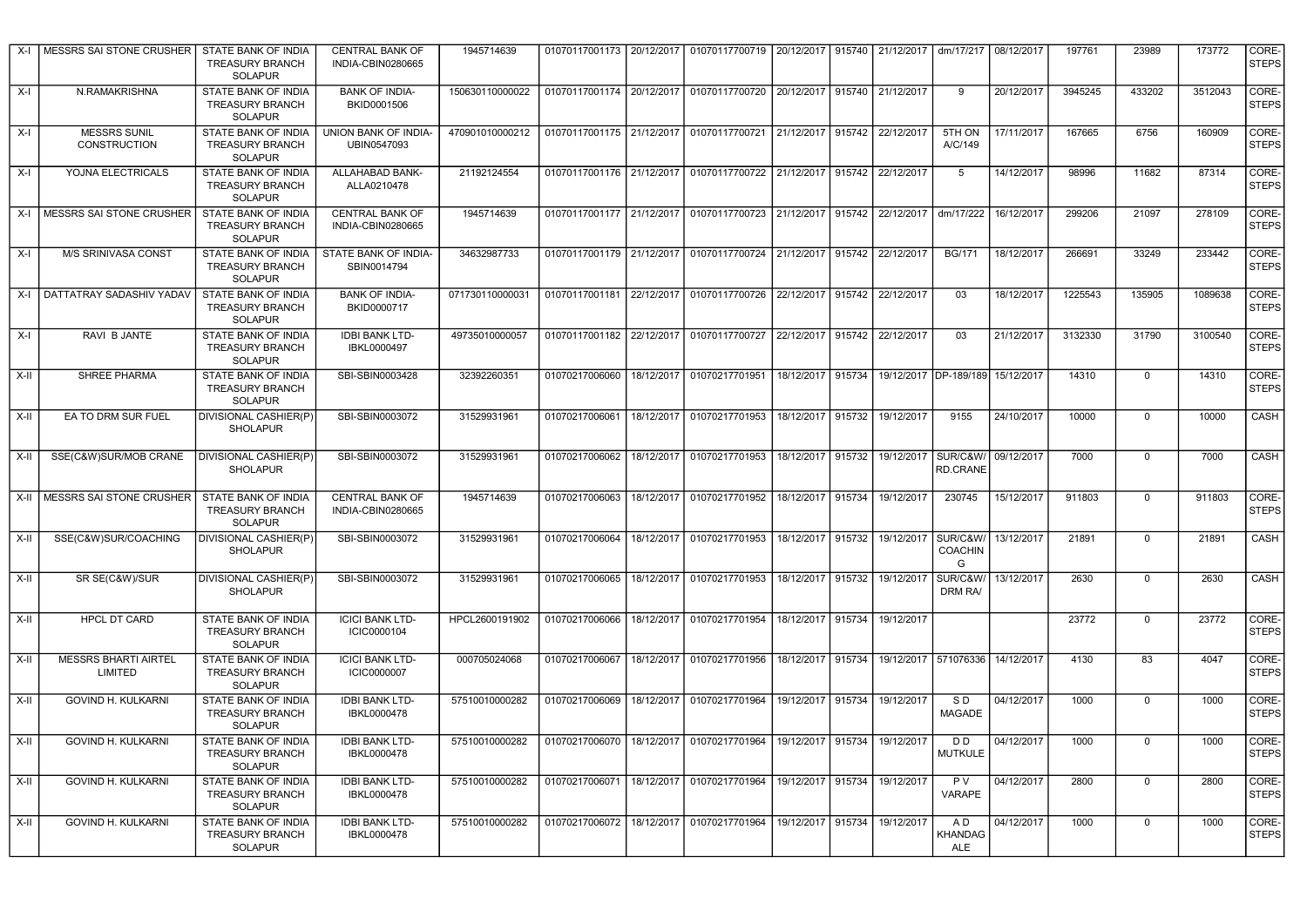| X-I    | MESSRS SAI STONE CRUSHER               | STATE BANK OF INDIA<br><b>TREASURY BRANCH</b><br><b>SOLAPUR</b>        | <b>CENTRAL BANK OF</b><br>INDIA-CBIN0280665 | 1945714639      |                | 01070117001173   20/12/2017   01070117700719   20/12/2017   915740   21/12/2017   dm/17/217 |                   |        |                              |                                  | 08/12/2017 | 197761  | 23989          | 173772  | CORE-<br><b>STEPS</b> |
|--------|----------------------------------------|------------------------------------------------------------------------|---------------------------------------------|-----------------|----------------|---------------------------------------------------------------------------------------------|-------------------|--------|------------------------------|----------------------------------|------------|---------|----------------|---------|-----------------------|
| $X-I$  | N.RAMAKRISHNA                          | STATE BANK OF INDIA<br><b>TREASURY BRANCH</b><br><b>SOLAPUR</b>        | <b>BANK OF INDIA-</b><br>BKID0001506        | 150630110000022 |                | 01070117001174 20/12/2017 01070117700720 20/12/2017 915740 21/12/2017                       |                   |        |                              | 9                                | 20/12/2017 | 3945245 | 433202         | 3512043 | CORE-<br><b>STEPS</b> |
| X-I    | MESSRS SUNIL<br><b>CONSTRUCTION</b>    | STATE BANK OF INDIA<br><b>TREASURY BRANCH</b><br><b>SOLAPUR</b>        | UNION BANK OF INDIA-<br>UBIN0547093         | 470901010000212 |                | 01070117001175 21/12/2017 01070117700721                                                    |                   |        | 21/12/2017 915742 22/12/2017 | 5TH ON<br>A/C/149                | 17/11/2017 | 167665  | 6756           | 160909  | CORE-<br><b>STEPS</b> |
| X-I    | YOJNA ELECTRICALS                      | STATE BANK OF INDIA<br><b>TREASURY BRANCH</b><br><b>SOLAPUR</b>        | ALLAHABAD BANK-<br>ALLA0210478              | 21192124554     |                | 01070117001176   21/12/2017   01070117700722   21/12/2017   915742   22/12/2017             |                   |        |                              | 5                                | 14/12/2017 | 98996   | 11682          | 87314   | CORE-<br><b>STEPS</b> |
|        | X-I   MESSRS SAI STONE CRUSHER         | STATE BANK OF INDIA<br><b>TREASURY BRANCH</b><br><b>SOLAPUR</b>        | <b>CENTRAL BANK OF</b><br>INDIA-CBIN0280665 | 1945714639      |                | 01070117001177 21/12/2017 01070117700723 21/12/2017 915742 22/12/2017 dm/17/222             |                   |        |                              |                                  | 16/12/2017 | 299206  | 21097          | 278109  | CORE-<br><b>STEPS</b> |
| X-I    | M/S SRINIVASA CONST                    | STATE BANK OF INDIA<br><b>TREASURY BRANCH</b><br><b>SOLAPUR</b>        | STATE BANK OF INDIA-<br>SBIN0014794         | 34632987733     |                | 01070117001179 21/12/2017 01070117700724 21/12/2017 915742 22/12/2017                       |                   |        |                              | <b>BG/171</b>                    | 18/12/2017 | 266691  | 33249          | 233442  | CORE-<br><b>STEPS</b> |
| X-I    | DATTATRAY SADASHIV YADAV               | STATE BANK OF INDIA<br><b>TREASURY BRANCH</b><br><b>SOLAPUR</b>        | <b>BANK OF INDIA-</b><br>BKID0000717        | 071730110000031 | 01070117001181 | 22/12/2017 01070117700726                                                                   | 22/12/2017        | 915742 | 22/12/2017                   | 03                               | 18/12/2017 | 1225543 | 135905         | 1089638 | CORE-<br><b>STEPS</b> |
| X-I    | RAVI B JANTE                           | STATE BANK OF INDIA<br><b>TREASURY BRANCH</b><br><b>SOLAPUR</b>        | <b>IDBI BANK LTD-</b><br>IBKL0000497        | 49735010000057  |                | 01070117001182 22/12/2017 01070117700727                                                    | 22/12/2017        | 915742 | 22/12/2017                   | 03                               | 21/12/2017 | 3132330 | 31790          | 3100540 | CORE-<br><b>STEPS</b> |
| X-II   | SHREE PHARMA                           | STATE BANK OF INDIA<br><b>TREASURY BRANCH</b><br><b>SOLAPUR</b>        | SBI-SBIN0003428                             | 32392260351     | 01070217006060 | 18/12/2017 01070217701951                                                                   | 18/12/2017 915734 |        | 19/12/2017 DP-189/189        |                                  | 15/12/2017 | 14310   | 0              | 14310   | CORE-<br><b>STEPS</b> |
| $X-II$ | EA TO DRM SUR FUEL                     | DIVISIONAL CASHIER(P)<br><b>SHOLAPUR</b>                               | SBI-SBIN0003072                             | 31529931961     | 01070217006061 | 18/12/2017 01070217701953                                                                   | 18/12/2017        | 915732 | 19/12/2017                   | 9155                             | 24/10/2017 | 10000   | $\mathsf 0$    | 10000   | <b>CASH</b>           |
| X-II   | SSE(C&W)SUR/MOB CRANE                  | DIVISIONAL CASHIER(P)<br><b>SHOLAPUR</b>                               | SBI-SBIN0003072                             | 31529931961     | 01070217006062 | 18/12/2017 01070217701953                                                                   | 18/12/2017        | 915732 | 19/12/2017 SUR/C&W/          | <b>RD.CRANE</b>                  | 09/12/2017 | 7000    | 0              | 7000    | CASH                  |
| $X-H$  | MESSRS SAI STONE CRUSHER               | STATE BANK OF INDIA<br><b>TREASURY BRANCH</b><br><b>SOLAPUR</b>        | <b>CENTRAL BANK OF</b><br>INDIA-CBIN0280665 | 1945714639      | 01070217006063 | 18/12/2017 01070217701952                                                                   | 18/12/2017 915734 |        | 19/12/2017                   | 230745                           | 15/12/2017 | 911803  | $\mathsf 0$    | 911803  | CORE-<br><b>STEPS</b> |
| $X-H$  | SSE(C&W)SUR/COACHING                   | DIVISIONAL CASHIER(P)<br><b>SHOLAPUR</b>                               | SBI-SBIN0003072                             | 31529931961     | 01070217006064 | 18/12/2017 01070217701953                                                                   | 18/12/2017        | 915732 | 19/12/2017                   | SUR/C&W<br><b>COACHIN</b><br>G   | 13/12/2017 | 21891   | $\overline{0}$ | 21891   | CASH                  |
| $X-H$  | SR SE(C&W)/SUR                         | DIVISIONAL CASHIER(P)<br><b>SHOLAPUR</b>                               | SBI-SBIN0003072                             | 31529931961     | 01070217006065 | 18/12/2017 01070217701953                                                                   | 18/12/2017        | 915732 | 19/12/2017                   | SUR/C&W<br>DRM RA/               | 13/12/2017 | 2630    | $\mathbf 0$    | 2630    | CASH                  |
| X-II   | <b>HPCL DT CARD</b>                    | <b>STATE BANK OF INDIA</b><br><b>TREASURY BRANCH</b><br><b>SOLAPUR</b> | <b>ICICI BANK LTD-</b><br>ICIC0000104       | HPCL2600191902  | 01070217006066 | 18/12/2017 01070217701954                                                                   | 18/12/2017        | 915734 | 19/12/2017                   |                                  |            | 23772   | $\mathbf 0$    | 23772   | CORE-<br><b>STEPS</b> |
| X-II   | <b>MESSRS BHARTI AIRTEL</b><br>LIMITED | STATE BANK OF INDIA<br><b>TREASURY BRANCH</b><br>SOLAPUR               | <b>ICICI BANK LTD-</b><br>ICIC0000007       | 000705024068    | 01070217006067 | 18/12/2017 01070217701956                                                                   | 18/12/2017 915734 |        | 19/12/2017 571076336         |                                  | 14/12/2017 | 4130    | 83             | 4047    | CORE-<br><b>STEPS</b> |
| X-II   | GOVIND H. KULKARNI                     | <b>STATE BANK OF INDIA</b><br><b>TREASURY BRANCH</b><br>SOLAPUR        | <b>IDBI BANK LTD-</b><br>IBKL0000478        | 57510010000282  | 01070217006069 | 18/12/2017 01070217701964                                                                   | 19/12/2017        | 915734 | 19/12/2017                   | SD.<br><b>MAGADE</b>             | 04/12/2017 | 1000    | $\mathbf 0$    | 1000    | CORE-<br><b>STEPS</b> |
| X-II   | GOVIND H. KULKARNI                     | STATE BANK OF INDIA<br><b>TREASURY BRANCH</b><br><b>SOLAPUR</b>        | <b>IDBI BANK LTD-</b><br>IBKL0000478        | 57510010000282  | 01070217006070 | 18/12/2017 01070217701964                                                                   | 19/12/2017 915734 |        | 19/12/2017                   | D <sub>D</sub><br><b>MUTKULE</b> | 04/12/2017 | 1000    | $\mathbf 0$    | 1000    | CORE-<br><b>STEPS</b> |
| X-II   | GOVIND H. KULKARNI                     | STATE BANK OF INDIA<br>TREASURY BRANCH<br><b>SOLAPUR</b>               | <b>IDBI BANK LTD-</b><br>IBKL0000478        | 57510010000282  | 01070217006071 | 18/12/2017 01070217701964                                                                   | 19/12/2017 915734 |        | 19/12/2017                   | <b>PV</b><br><b>VARAPE</b>       | 04/12/2017 | 2800    | $\mathbf 0$    | 2800    | CORE-<br><b>STEPS</b> |
| X-II   | GOVIND H. KULKARNI                     | STATE BANK OF INDIA<br><b>TREASURY BRANCH</b><br><b>SOLAPUR</b>        | <b>IDBI BANK LTD-</b><br>IBKL0000478        | 57510010000282  | 01070217006072 | 18/12/2017 01070217701964                                                                   | 19/12/2017        | 915734 | 19/12/2017                   | AD<br>KHANDAG<br><b>ALE</b>      | 04/12/2017 | 1000    | $\Omega$       | 1000    | CORE-<br><b>STEPS</b> |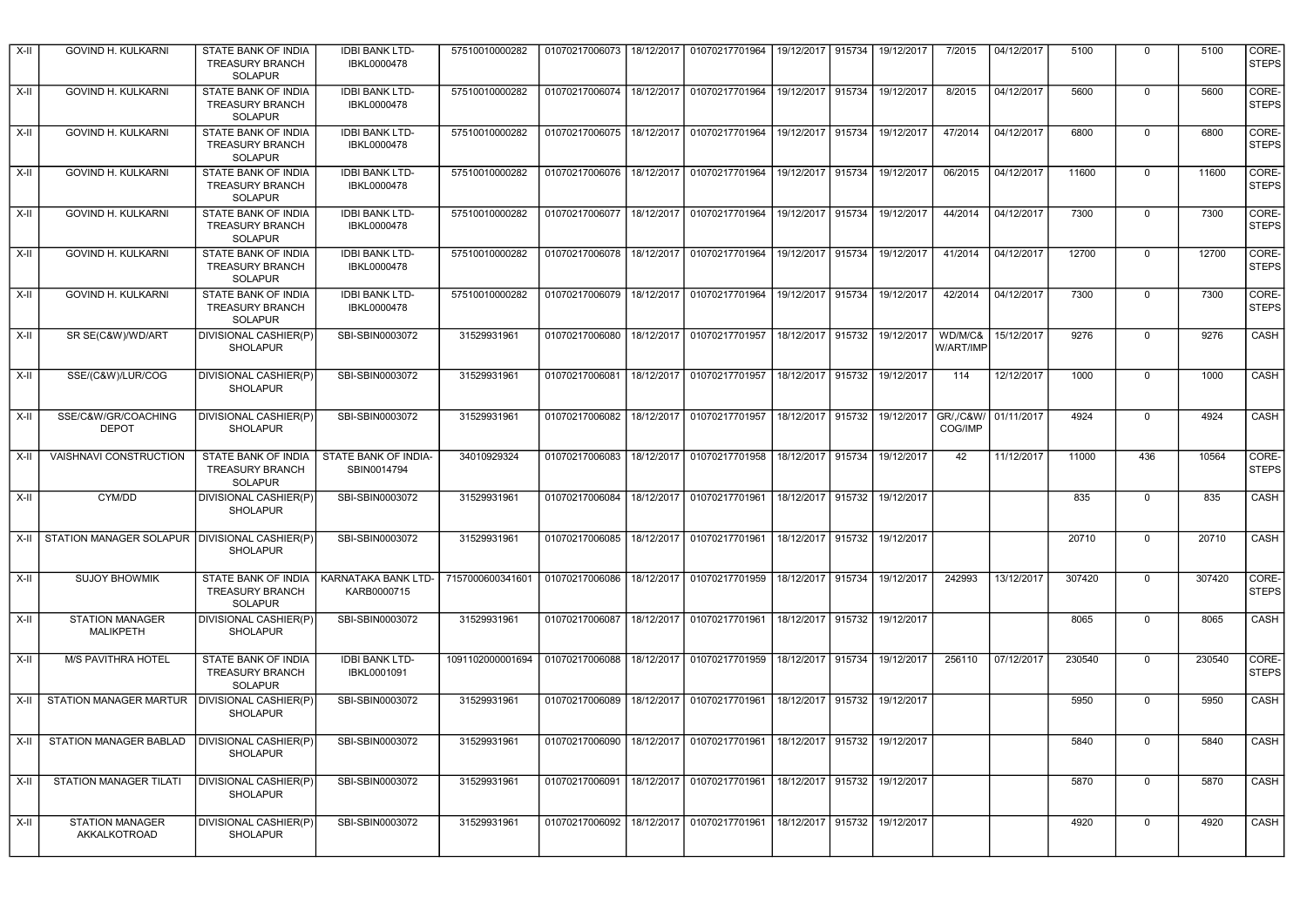| X-II   | GOVIND H. KULKARNI                                 | STATE BANK OF INDIA<br><b>TREASURY BRANCH</b><br><b>SOLAPUR</b>        | <b>IDBI BANK LTD-</b><br>IBKL0000478 | 57510010000282   | 01070217006073                               | 18/12/2017 01070217701964                                          | 19/12/2017 915734 |        | 19/12/2017 | 7/2015               | 04/12/2017 | 5100   | $\Omega$       | 5100   | CORE-<br><b>STEPS</b> |
|--------|----------------------------------------------------|------------------------------------------------------------------------|--------------------------------------|------------------|----------------------------------------------|--------------------------------------------------------------------|-------------------|--------|------------|----------------------|------------|--------|----------------|--------|-----------------------|
| X-II   | GOVIND H. KULKARNI                                 | STATE BANK OF INDIA<br><b>TREASURY BRANCH</b><br><b>SOLAPUR</b>        | <b>IDBI BANK LTD-</b><br>IBKL0000478 | 57510010000282   | 01070217006074                               | 18/12/2017 01070217701964                                          | 19/12/2017 915734 |        | 19/12/2017 | 8/2015               | 04/12/2017 | 5600   | $\mathbf 0$    | 5600   | CORE-<br><b>STEPS</b> |
| X-II   | GOVIND H. KULKARNI                                 | STATE BANK OF INDIA<br><b>TREASURY BRANCH</b><br><b>SOLAPUR</b>        | <b>IDBI BANK LTD-</b><br>IBKL0000478 | 57510010000282   | 01070217006075                               | 18/12/2017 01070217701964                                          | 19/12/2017        | 915734 | 19/12/2017 | 47/2014              | 04/12/2017 | 6800   | $\Omega$       | 6800   | CORE-<br><b>STEPS</b> |
| X-II   | GOVIND H. KULKARNI                                 | <b>STATE BANK OF INDIA</b><br><b>TREASURY BRANCH</b><br><b>SOLAPUR</b> | <b>IDBI BANK LTD-</b><br>IBKL0000478 | 57510010000282   | 01070217006076   18/12/2017   01070217701964 |                                                                    | 19/12/2017 915734 |        | 19/12/2017 | 06/2015              | 04/12/2017 | 11600  | $\mathbf 0$    | 11600  | CORE-<br><b>STEPS</b> |
| X-II   | GOVIND H. KULKARNI                                 | STATE BANK OF INDIA<br><b>TREASURY BRANCH</b><br><b>SOLAPUR</b>        | <b>IDBI BANK LTD-</b><br>IBKL0000478 | 57510010000282   |                                              | 01070217006077   18/12/2017   01070217701964   19/12/2017   915734 |                   |        | 19/12/2017 | 44/2014              | 04/12/2017 | 7300   | $\mathbf 0$    | 7300   | CORE-<br><b>STEPS</b> |
| X-II   | GOVIND H. KULKARNI                                 | STATE BANK OF INDIA<br><b>TREASURY BRANCH</b><br><b>SOLAPUR</b>        | <b>IDBI BANK LTD-</b><br>IBKL0000478 | 57510010000282   | 01070217006078                               | 18/12/2017 01070217701964                                          | 19/12/2017 915734 |        | 19/12/2017 | 41/2014              | 04/12/2017 | 12700  | $\mathbf 0$    | 12700  | CORE-<br><b>STEPS</b> |
| X-II   | GOVIND H. KULKARNI                                 | STATE BANK OF INDIA<br><b>TREASURY BRANCH</b><br><b>SOLAPUR</b>        | <b>IDBI BANK LTD-</b><br>IBKL0000478 | 57510010000282   | 01070217006079                               | 18/12/2017 01070217701964                                          | 19/12/2017        | 915734 | 19/12/2017 | 42/2014              | 04/12/2017 | 7300   | $\mathbf 0$    | 7300   | CORE-<br><b>STEPS</b> |
| X-II   | SR SE(C&W)/WD/ART                                  | DIVISIONAL CASHIER(P)<br><b>SHOLAPUR</b>                               | SBI-SBIN0003072                      | 31529931961      | 01070217006080                               | 18/12/2017 01070217701957                                          | 18/12/2017        | 915732 | 19/12/2017 | WD/M/C&<br>W/ART/IMP | 15/12/2017 | 9276   | $\mathbf 0$    | 9276   | <b>CASH</b>           |
| X-II   | SSE/(C&W)/LUR/COG                                  | DIVISIONAL CASHIER(P)<br><b>SHOLAPUR</b>                               | SBI-SBIN0003072                      | 31529931961      | 01070217006081                               | 18/12/2017 01070217701957                                          | 18/12/2017        | 915732 | 19/12/2017 | 114                  | 12/12/2017 | 1000   | 0              | 1000   | CASH                  |
| X-II   | SSE/C&W/GR/COACHING<br><b>DEPOT</b>                | DIVISIONAL CASHIER(P)<br><b>SHOLAPUR</b>                               | SBI-SBIN0003072                      | 31529931961      | 01070217006082                               | 18/12/2017 01070217701957                                          | 18/12/2017        | 915732 | 19/12/2017 | GR/,/C&W/<br>COG/IMP | 01/11/2017 | 4924   | 0              | 4924   | CASH                  |
| X-II   | VAISHNAVI CONSTRUCTION                             | STATE BANK OF INDIA<br><b>TREASURY BRANCH</b><br><b>SOLAPUR</b>        | STATE BANK OF INDIA-<br>SBIN0014794  | 34010929324      | 01070217006083                               | 18/12/2017 01070217701958                                          | 18/12/2017        | 915734 | 19/12/2017 | 42                   | 11/12/2017 | 11000  | 436            | 10564  | CORE-<br><b>STEPS</b> |
| X-II   | CYM/DD                                             | DIVISIONAL CASHIER(P)<br><b>SHOLAPUR</b>                               | SBI-SBIN0003072                      | 31529931961      | 01070217006084                               | 18/12/2017 01070217701961                                          | 18/12/2017 915732 |        | 19/12/2017 |                      |            | 835    | 0              | 835    | <b>CASH</b>           |
|        | X-II STATION MANAGER SOLAPUR DIVISIONAL CASHIER(P) | <b>SHOLAPUR</b>                                                        | SBI-SBIN0003072                      | 31529931961      | 01070217006085                               | 18/12/2017 01070217701961                                          | 18/12/2017        | 915732 | 19/12/2017 |                      |            | 20710  | $\overline{0}$ | 20710  | <b>CASH</b>           |
| $X-II$ | <b>SUJOY BHOWMIK</b>                               | STATE BANK OF INDIA<br>TREASURY BRANCH<br><b>SOLAPUR</b>               | KARNATAKA BANK LTD-<br>KARB0000715   | 7157000600341601 | 01070217006086                               | 18/12/2017 01070217701959                                          | 18/12/2017        | 915734 | 19/12/2017 | 242993               | 13/12/2017 | 307420 | $\Omega$       | 307420 | CORE-<br><b>STEPS</b> |
| X-II   | <b>STATION MANAGER</b><br><b>MALIKPETH</b>         | DIVISIONAL CASHIER(P)<br><b>SHOLAPUR</b>                               | SBI-SBIN0003072                      | 31529931961      | 01070217006087                               | 18/12/2017 01070217701961                                          | 18/12/2017        | 915732 | 19/12/2017 |                      |            | 8065   | $\mathbf 0$    | 8065   | CASH                  |
| X-II   | M/S PAVITHRA HOTEL                                 | STATE BANK OF INDIA<br><b>TREASURY BRANCH</b><br><b>SOLAPUR</b>        | <b>IDBI BANK LTD-</b><br>IBKL0001091 | 1091102000001694 | 01070217006088                               | 18/12/2017 01070217701959                                          | 18/12/2017        | 915734 | 19/12/2017 | 256110               | 07/12/2017 | 230540 | $\mathbf 0$    | 230540 | CORE-<br><b>STEPS</b> |
| X-II   | STATION MANAGER MARTUR                             | DIVISIONAL CASHIER(P)<br><b>SHOLAPUR</b>                               | SBI-SBIN0003072                      | 31529931961      | 01070217006089                               | 18/12/2017 01070217701961                                          | 18/12/2017        | 915732 | 19/12/2017 |                      |            | 5950   | $\mathbf 0$    | 5950   | CASH                  |
| X-II   | STATION MANAGER BABLAD                             | <b>DIVISIONAL CASHIER(P)</b><br><b>SHOLAPUR</b>                        | SBI-SBIN0003072                      | 31529931961      | 01070217006090                               | 18/12/2017 01070217701961                                          | 18/12/2017        | 915732 | 19/12/2017 |                      |            | 5840   | $\mathbf 0$    | 5840   | CASH                  |
| X-II   | STATION MANAGER TILATI                             | <b>DIVISIONAL CASHIER(P)</b><br><b>SHOLAPUR</b>                        | SBI-SBIN0003072                      | 31529931961      | 01070217006091                               | 18/12/2017 01070217701961                                          | 18/12/2017 915732 |        | 19/12/2017 |                      |            | 5870   | $\mathbf 0$    | 5870   | CASH                  |
| $X-II$ |                                                    |                                                                        |                                      |                  |                                              |                                                                    |                   |        |            |                      |            |        |                |        |                       |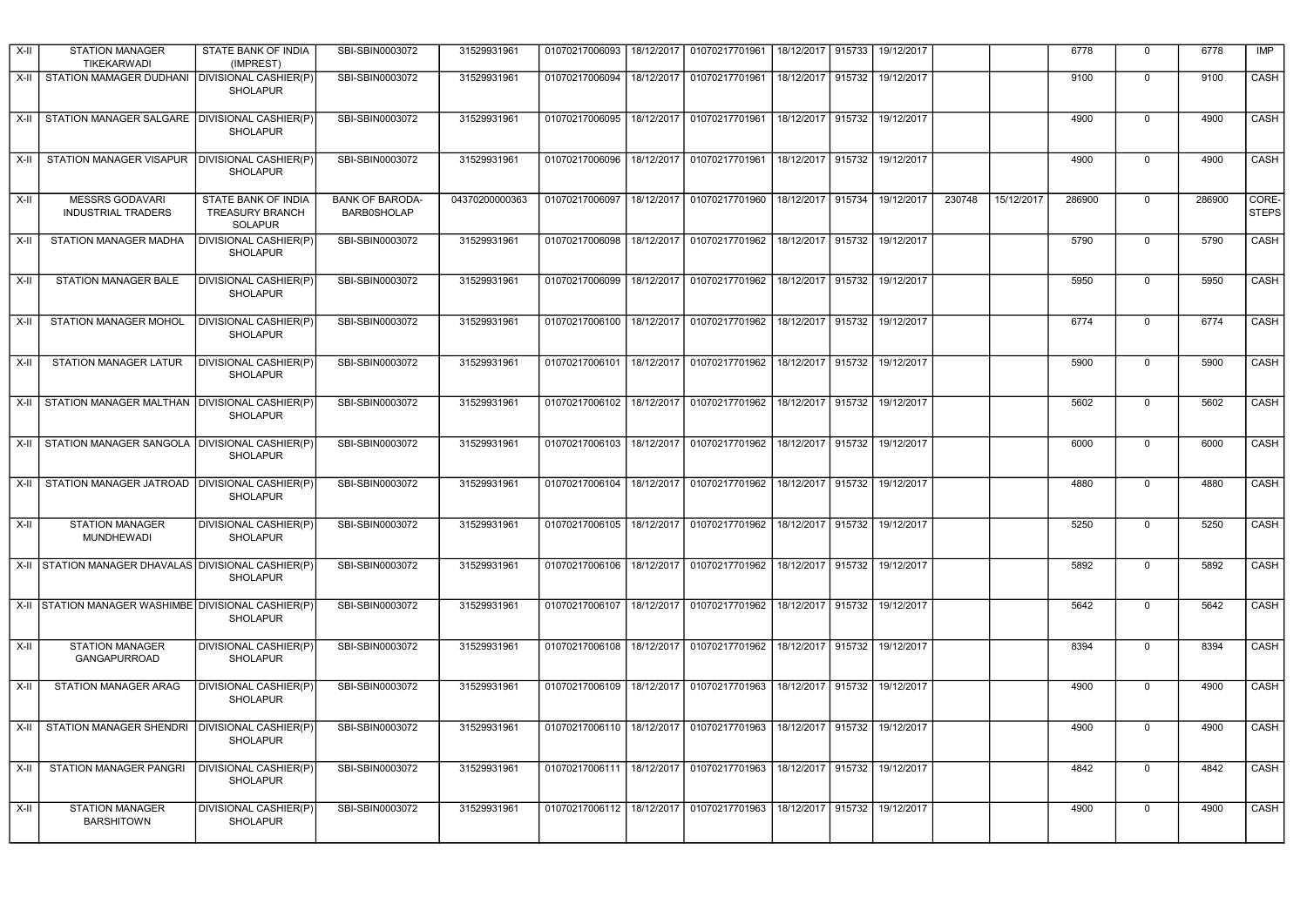| X-II  | <b>STATION MANAGER</b><br><b>TIKEKARWADI</b>        | STATE BANK OF INDIA<br>(IMPREST)                                | SBI-SBIN0003072                              | 31529931961    | 01070217006093 |            | 18/12/2017   01070217701961                       | 18/12/2017        | 915733 | 19/12/2017 |        |            | 6778   | $\Omega$    | 6778   | IMP                   |
|-------|-----------------------------------------------------|-----------------------------------------------------------------|----------------------------------------------|----------------|----------------|------------|---------------------------------------------------|-------------------|--------|------------|--------|------------|--------|-------------|--------|-----------------------|
| X-II  | STATION MAMAGER DUDHANI                             | DIVISIONAL CASHIER(P)<br><b>SHOLAPUR</b>                        | SBI-SBIN0003072                              | 31529931961    | 01070217006094 | 18/12/2017 | 01070217701961                                    | 18/12/2017        | 915732 | 19/12/2017 |        |            | 9100   | $\Omega$    | 9100   | CASH                  |
| $X-I$ | STATION MANAGER SALGARE I DIVISIONAL CASHIER(P)     | <b>SHOLAPUR</b>                                                 | SBI-SBIN0003072                              | 31529931961    | 01070217006095 |            | 18/12/2017 01070217701961                         | 18/12/2017 915732 |        | 19/12/2017 |        |            | 4900   | $\mathbf 0$ | 4900   | CASH                  |
| X-II  | STATION MANAGER VISAPUR                             | DIVISIONAL CASHIER(P)<br><b>SHOLAPUR</b>                        | SBI-SBIN0003072                              | 31529931961    | 01070217006096 |            | 18/12/2017 01070217701961                         | 18/12/2017 915732 |        | 19/12/2017 |        |            | 4900   | $\Omega$    | 4900   | CASH                  |
| X-II  | <b>MESSRS GODAVARI</b><br><b>INDUSTRIAL TRADERS</b> | STATE BANK OF INDIA<br><b>TREASURY BRANCH</b><br><b>SOLAPUR</b> | <b>BANK OF BARODA-</b><br><b>BARB0SHOLAP</b> | 04370200000363 | 01070217006097 |            | 18/12/2017 01070217701960                         | 18/12/2017        | 915734 | 19/12/2017 | 230748 | 15/12/2017 | 286900 | $\Omega$    | 286900 | CORE-<br><b>STEPS</b> |
| X-II  | STATION MANAGER MADHA                               | DIVISIONAL CASHIER(P)<br><b>SHOLAPUR</b>                        | SBI-SBIN0003072                              | 31529931961    | 01070217006098 |            | 18/12/2017 01070217701962                         | 18/12/2017        | 915732 | 19/12/2017 |        |            | 5790   | $\Omega$    | 5790   | CASH                  |
| X-II  | STATION MANAGER BALE                                | DIVISIONAL CASHIER(P)<br><b>SHOLAPUR</b>                        | SBI-SBIN0003072                              | 31529931961    | 01070217006099 |            | 18/12/2017   01070217701962                       | 18/12/2017 915732 |        | 19/12/2017 |        |            | 5950   | $\Omega$    | 5950   | CASH                  |
| X-II  | STATION MANAGER MOHOL                               | DIVISIONAL CASHIER(P)<br><b>SHOLAPUR</b>                        | SBI-SBIN0003072                              | 31529931961    | 01070217006100 |            | 18/12/2017 01070217701962                         | 18/12/2017 915732 |        | 19/12/2017 |        |            | 6774   | 0           | 6774   | CASH                  |
| X-II  | STATION MANAGER LATUR                               | DIVISIONAL CASHIER(P)<br><b>SHOLAPUR</b>                        | SBI-SBIN0003072                              | 31529931961    | 01070217006101 |            | 18/12/2017 01070217701962                         | 18/12/2017 915732 |        | 19/12/2017 |        |            | 5900   | $\Omega$    | 5900   | CASH                  |
| X-II  | STATION MANAGER MALTHAN   DIVISIONAL CASHIER(P)     | <b>SHOLAPUR</b>                                                 | SBI-SBIN0003072                              | 31529931961    | 01070217006102 |            | 18/12/2017 01070217701962                         | 18/12/2017        | 915732 | 19/12/2017 |        |            | 5602   | $\Omega$    | 5602   | CASH                  |
|       | X-II STATION MANAGER SANGOLA DIVISIONAL CASHIER(P)  | <b>SHOLAPUR</b>                                                 | SBI-SBIN0003072                              | 31529931961    | 01070217006103 |            | 18/12/2017 01070217701962                         | 18/12/2017 915732 |        | 19/12/2017 |        |            | 6000   | $\mathbf 0$ | 6000   | CASH                  |
| X-II  | STATION MANAGER JATROAD                             | DIVISIONAL CASHIER(P)<br><b>SHOLAPUR</b>                        | SBI-SBIN0003072                              | 31529931961    | 01070217006104 |            | 18/12/2017   01070217701962                       | 18/12/2017 915732 |        | 19/12/2017 |        |            | 4880   | $\Omega$    | 4880   | CASH                  |
| X-II  | <b>STATION MANAGER</b><br><b>MUNDHEWADI</b>         | DIVISIONAL CASHIER(P)<br><b>SHOLAPUR</b>                        | SBI-SBIN0003072                              | 31529931961    | 01070217006105 |            | 18/12/2017 01070217701962                         | 18/12/2017 915732 |        | 19/12/2017 |        |            | 5250   | 0           | 5250   | CASH                  |
| X-II  | STATION MANAGER DHAVALAS DIVISIONAL CASHIER(P)      | <b>SHOLAPUR</b>                                                 | SBI-SBIN0003072                              | 31529931961    | 01070217006106 |            | 18/12/2017 01070217701962                         | 18/12/2017 915732 |        | 19/12/2017 |        |            | 5892   | $\Omega$    | 5892   | CASH                  |
|       | X-II STATION MANAGER WASHIMBE DIVISIONAL CASHIER(P) | <b>SHOLAPUR</b>                                                 | SBI-SBIN0003072                              | 31529931961    | 01070217006107 |            | 18/12/2017 01070217701962                         | 18/12/2017        | 915732 | 19/12/2017 |        |            | 5642   | $\mathbf 0$ | 5642   | CASH                  |
| X-II  | <b>STATION MANAGER</b><br><b>GANGAPURROAD</b>       | DIVISIONAL CASHIER(P)<br><b>SHOLAPUR</b>                        | SBI-SBIN0003072                              | 31529931961    | 01070217006108 |            | 18/12/2017   01070217701962   18/12/2017   915732 |                   |        | 19/12/2017 |        |            | 8394   | 0           | 8394   | CASH                  |
| X-II  | STATION MANAGER ARAG                                | <b>DIVISIONAL CASHIER(P)</b><br><b>SHOLAPUR</b>                 | SBI-SBIN0003072                              | 31529931961    | 01070217006109 |            | 18/12/2017 01070217701963                         | 18/12/2017        | 915732 | 19/12/2017 |        |            | 4900   | $\Omega$    | 4900   | CASH                  |
| X-II  | STATION MANAGER SHENDRI                             | <b>DIVISIONAL CASHIER(P)</b><br><b>SHOLAPUR</b>                 | SBI-SBIN0003072                              | 31529931961    | 01070217006110 |            | 18/12/2017 01070217701963                         | 18/12/2017 915732 |        | 19/12/2017 |        |            | 4900   | 0           | 4900   | CASH                  |
| X-II  | STATION MANAGER PANGRI                              | <b>DIVISIONAL CASHIER(P)</b><br><b>SHOLAPUR</b>                 | SBI-SBIN0003072                              | 31529931961    | 01070217006111 |            | 18/12/2017 01070217701963                         | 18/12/2017 915732 |        | 19/12/2017 |        |            | 4842   | $\mathbf 0$ | 4842   | CASH                  |
| X-II  | <b>STATION MANAGER</b><br><b>BARSHITOWN</b>         | DIVISIONAL CASHIER(P)<br><b>SHOLAPUR</b>                        | SBI-SBIN0003072                              | 31529931961    | 01070217006112 |            | 18/12/2017 01070217701963                         | 18/12/2017        | 915732 | 19/12/2017 |        |            | 4900   | $\Omega$    | 4900   | CASH                  |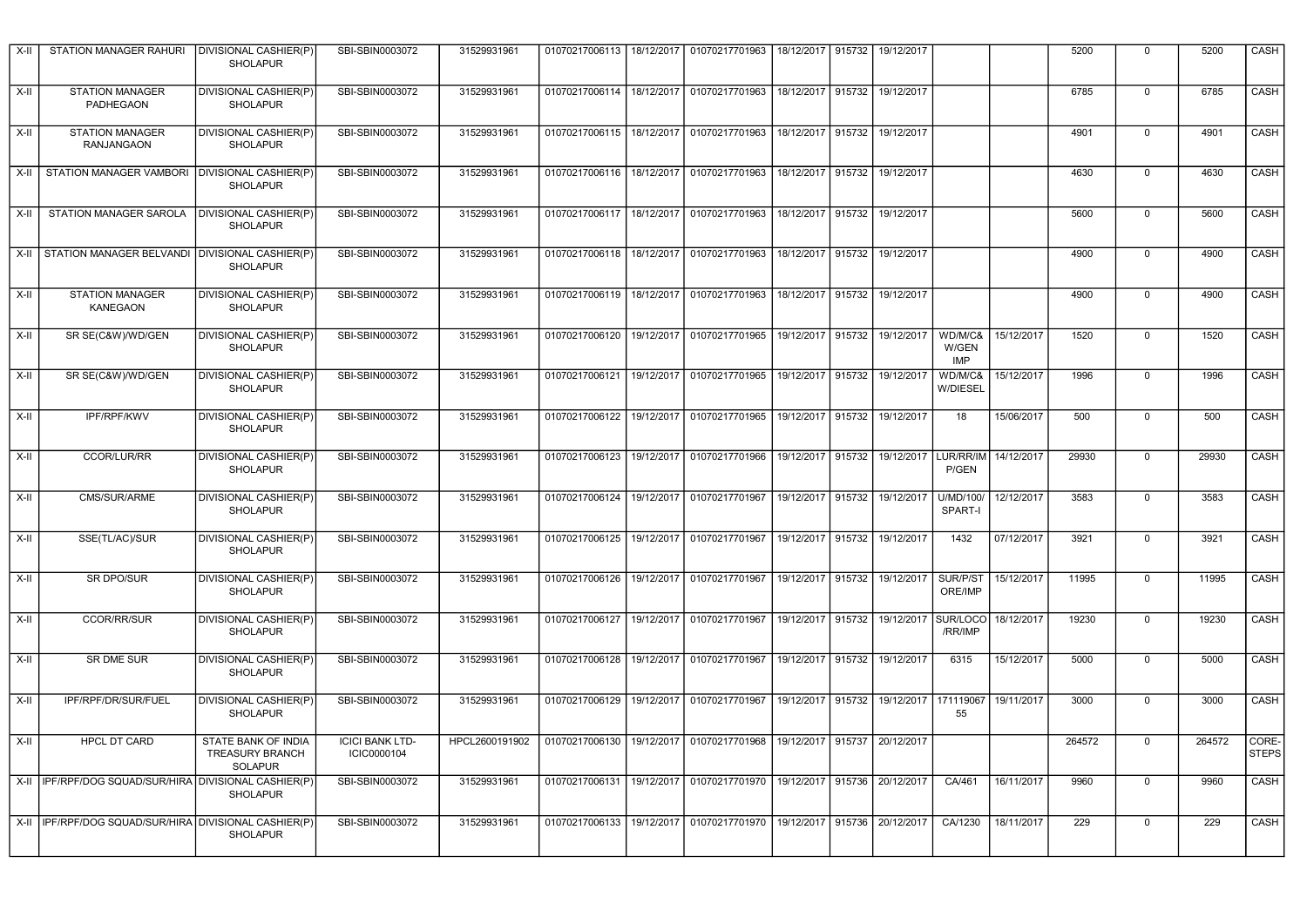| X-II   | STATION MANAGER RAHURI                                  | DIVISIONAL CASHIER(P)<br><b>SHOLAPUR</b>                               | SBI-SBIN0003072                       | 31529931961    |                                              |            | 01070217006113   18/12/2017   01070217701963                       | 18/12/2017   915732 |        | 19/12/2017 |                         |            | 5200   | $\mathbf 0$    | 5200   | CASH                  |
|--------|---------------------------------------------------------|------------------------------------------------------------------------|---------------------------------------|----------------|----------------------------------------------|------------|--------------------------------------------------------------------|---------------------|--------|------------|-------------------------|------------|--------|----------------|--------|-----------------------|
| X-II   | <b>STATION MANAGER</b><br>PADHEGAON                     | DIVISIONAL CASHIER(P)<br><b>SHOLAPUR</b>                               | SBI-SBIN0003072                       | 31529931961    | 01070217006114                               |            | 18/12/2017 01070217701963                                          | 18/12/2017 915732   |        | 19/12/2017 |                         |            | 6785   | $\mathbf 0$    | 6785   | CASH                  |
| X-II   | <b>STATION MANAGER</b><br><b>RANJANGAON</b>             | DIVISIONAL CASHIER(P)<br><b>SHOLAPUR</b>                               | SBI-SBIN0003072                       | 31529931961    | 01070217006115                               |            | 18/12/2017 01070217701963                                          | 18/12/2017 915732   |        | 19/12/2017 |                         |            | 4901   | $\mathbf 0$    | 4901   | CASH                  |
|        | X-II STATION MANAGER VAMBORI   DIVISIONAL CASHIER(P)    | <b>SHOLAPUR</b>                                                        | SBI-SBIN0003072                       | 31529931961    |                                              |            | 01070217006116   18/12/2017   01070217701963                       | 18/12/2017 915732   |        | 19/12/2017 |                         |            | 4630   | 0              | 4630   | CASH                  |
|        | X-II STATION MANAGER SAROLA                             | DIVISIONAL CASHIER(P)<br><b>SHOLAPUR</b>                               | SBI-SBIN0003072                       | 31529931961    |                                              |            | 01070217006117   18/12/2017   01070217701963                       | 18/12/2017 915732   |        | 19/12/2017 |                         |            | 5600   | 0              | 5600   | CASH                  |
|        | X-II STATION MANAGER BELVANDI DIVISIONAL CASHIER(P)     | <b>SHOLAPUR</b>                                                        | SBI-SBIN0003072                       | 31529931961    | 01070217006118                               |            | 18/12/2017 01070217701963                                          | 18/12/2017 915732   |        | 19/12/2017 |                         |            | 4900   | 0              | 4900   | CASH                  |
| X-II   | <b>STATION MANAGER</b><br><b>KANEGAON</b>               | DIVISIONAL CASHIER(P)<br><b>SHOLAPUR</b>                               | SBI-SBIN0003072                       | 31529931961    | 01070217006119                               |            | 18/12/2017 01070217701963                                          | 18/12/2017          | 915732 | 19/12/2017 |                         |            | 4900   | 0              | 4900   | CASH                  |
| X-II   | SR SE(C&W)/WD/GEN                                       | DIVISIONAL CASHIER(P)<br>SHOLAPUR                                      | SBI-SBIN0003072                       | 31529931961    | 01070217006120                               |            | 19/12/2017 01070217701965                                          | 19/12/2017 915732   |        | 19/12/2017 | WD/M/C&<br>W/GEN<br>IMP | 15/12/2017 | 1520   | $\Omega$       | 1520   | <b>CASH</b>           |
| $X-II$ | SR SE(C&W)/WD/GEN                                       | DIVISIONAL CASHIER(P)<br>SHOLAPUR                                      | SBI-SBIN0003072                       | 31529931961    | 01070217006121                               | 19/12/2017 | 01070217701965                                                     | 19/12/2017          | 915732 | 19/12/2017 | WD/M/C&<br>W/DIESEL     | 15/12/2017 | 1996   | $\mathbf{0}$   | 1996   | CASH                  |
| X-II   | <b>IPF/RPF/KWV</b>                                      | DIVISIONAL CASHIER(P)<br>SHOLAPUR                                      | SBI-SBIN0003072                       | 31529931961    | 01070217006122                               |            | 19/12/2017 01070217701965                                          | 19/12/2017 915732   |        | 19/12/2017 | 18                      | 15/06/2017 | 500    | $\mathbf 0$    | 500    | CASH                  |
| X-II   | CCOR/LUR/RR                                             | DIVISIONAL CASHIER(P)<br><b>SHOLAPUR</b>                               | SBI-SBIN0003072                       | 31529931961    | 01070217006123                               |            | 19/12/2017 01070217701966                                          | 19/12/2017          | 915732 | 19/12/2017 | LUR/RR/IM<br>P/GEN      | 14/12/2017 | 29930  | $\mathbf 0$    | 29930  | CASH                  |
| X-II   | CMS/SUR/ARME                                            | DIVISIONAL CASHIER(P)<br><b>SHOLAPUR</b>                               | SBI-SBIN0003072                       | 31529931961    | 01070217006124   19/12/2017   01070217701967 |            |                                                                    | 19/12/2017 915732   |        | 19/12/2017 | U/MD/100<br>SPART-I     | 12/12/2017 | 3583   | $\Omega$       | 3583   | CASH                  |
| $X-H$  | SSE(TL/AC)/SUR                                          | DIVISIONAL CASHIER(P)<br><b>SHOLAPUR</b>                               | SBI-SBIN0003072                       | 31529931961    |                                              |            | 01070217006125   19/12/2017   01070217701967                       | 19/12/2017 915732   |        | 19/12/2017 | 1432                    | 07/12/2017 | 3921   | $\overline{0}$ | 3921   | CASH                  |
| X-II   | SR DPO/SUR                                              | DIVISIONAL CASHIER(P)<br><b>SHOLAPUR</b>                               | SBI-SBIN0003072                       | 31529931961    | 01070217006126                               | 19/12/2017 | 01070217701967                                                     | 19/12/2017 915732   |        | 19/12/2017 | SUR/P/ST<br>ORE/IMP     | 15/12/2017 | 11995  | $\mathbf 0$    | 11995  | CASH                  |
| X-II   | <b>CCOR/RR/SUR</b>                                      | DIVISIONAL CASHIER(P)<br><b>SHOLAPUR</b>                               | SBI-SBIN0003072                       | 31529931961    | 01070217006127                               |            | 19/12/2017 01070217701967                                          | 19/12/2017          | 915732 | 19/12/2017 | SUR/LOCO<br>/RR/IMP     | 18/12/2017 | 19230  | $\mathbf 0$    | 19230  | CASH                  |
| X-II   | SR DME SUR                                              | DIVISIONAL CASHIER(P)<br><b>SHOLAPUR</b>                               | SBI-SBIN0003072                       | 31529931961    | 01070217006128                               | 19/12/2017 | 01070217701967                                                     | 19/12/2017          | 915732 | 19/12/2017 | 6315                    | 15/12/2017 | 5000   | $\Omega$       | 5000   | CASH                  |
| X-II   | IPF/RPF/DR/SUR/FUEL                                     | DIVISIONAL CASHIER(P)<br><b>SHOLAPUR</b>                               | SBI-SBIN0003072                       | 31529931961    | 01070217006129                               | 19/12/2017 | 01070217701967                                                     | 19/12/2017          | 915732 | 19/12/2017 | 171119067<br>55         | 19/11/2017 | 3000   | $\mathbf 0$    | 3000   | CASH                  |
| X-II   | <b>HPCL DT CARD</b>                                     | <b>STATE BANK OF INDIA</b><br><b>TREASURY BRANCH</b><br><b>SOLAPUR</b> | <b>ICICI BANK LTD-</b><br>ICIC0000104 | HPCL2600191902 | 01070217006130                               | 19/12/2017 | 01070217701968                                                     | 19/12/2017          | 915737 | 20/12/2017 |                         |            | 264572 | $\Omega$       | 264572 | CORE-<br><b>STEPS</b> |
|        | X-II   IPF/RPF/DOG SQUAD/SUR/HIRA DIVISIONAL CASHIER(P) | <b>SHOLAPUR</b>                                                        | SBI-SBIN0003072                       | 31529931961    | 01070217006131                               |            | 19/12/2017 01070217701970                                          | 19/12/2017 915736   |        | 20/12/2017 | CA/461                  | 16/11/2017 | 9960   | $\mathbf 0$    | 9960   | CASH                  |
|        | X-II I IPF/RPF/DOG SQUAD/SUR/HIRA DIVISIONAL CASHIER(P) | <b>SHOLAPUR</b>                                                        | SBI-SBIN0003072                       | 31529931961    |                                              |            | 01070217006133   19/12/2017   01070217701970   19/12/2017   915736 |                     |        | 20/12/2017 | CA/1230                 | 18/11/2017 | 229    | $\Omega$       | 229    | CASH                  |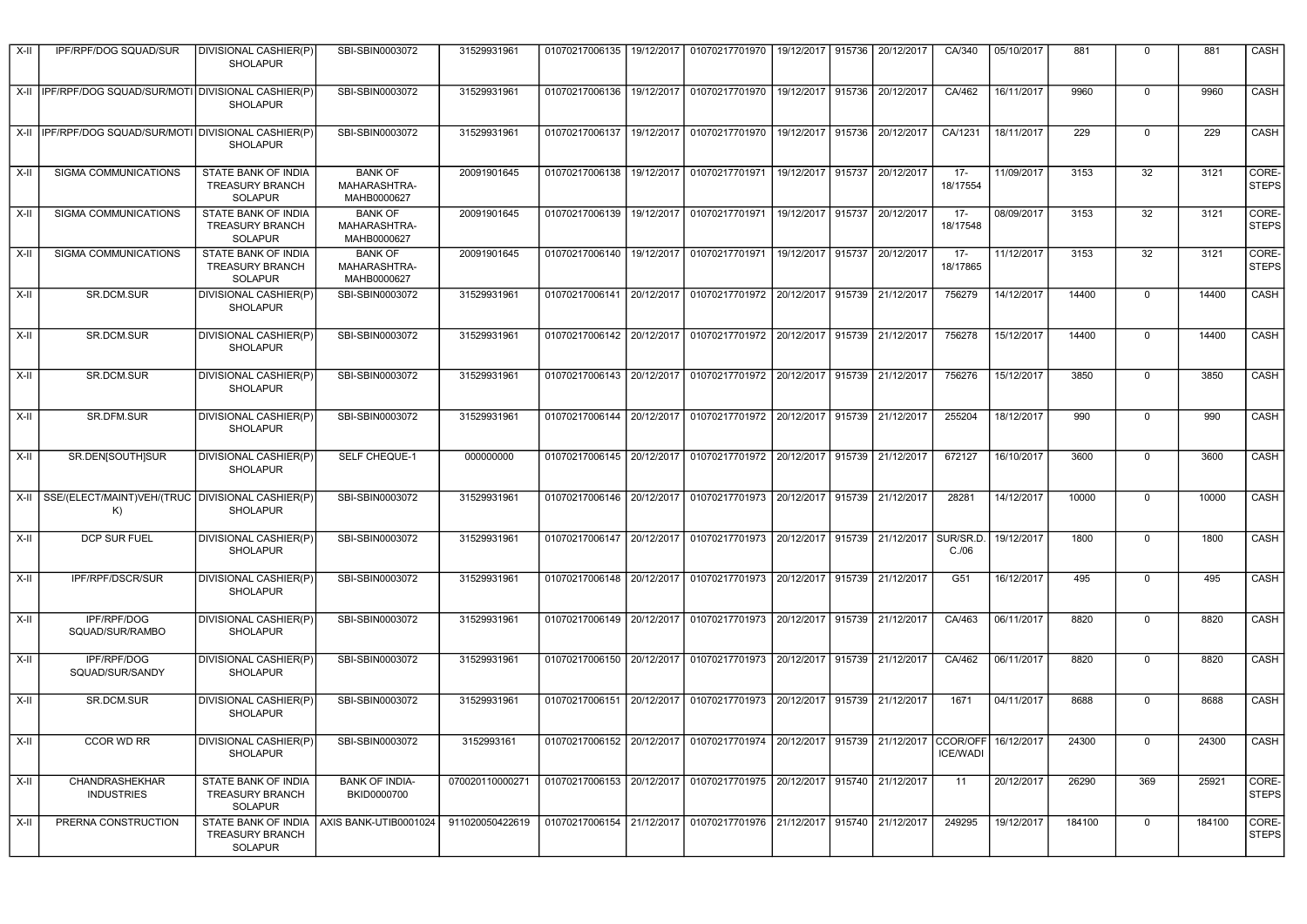| X-II | IPF/RPF/DOG SQUAD/SUR                                       | DIVISIONAL CASHIER(P)<br><b>SHOLAPUR</b>                        | SBI-SBIN0003072                               | 31529931961     | 01070217006135            | 19/12/2017 | 01070217701970                                                                            | 19/12/2017   915736 |        | 20/12/2017                   | CA/340             | 05/10/2017 | 881    | $\mathbf 0$ | 881    | CASH                  |
|------|-------------------------------------------------------------|-----------------------------------------------------------------|-----------------------------------------------|-----------------|---------------------------|------------|-------------------------------------------------------------------------------------------|---------------------|--------|------------------------------|--------------------|------------|--------|-------------|--------|-----------------------|
|      | X-II   IPF/RPF/DOG SQUAD/SUR/MOTI   DIVISIONAL CASHIER(P)   | <b>SHOLAPUR</b>                                                 | SBI-SBIN0003072                               | 31529931961     |                           |            | 01070217006136   19/12/2017   01070217701970                                              | 19/12/2017 915736   |        | 20/12/2017                   | CA/462             | 16/11/2017 | 9960   | $\mathbf 0$ | 9960   | CASH                  |
|      | X-II   IPF/RPF/DOG SQUAD/SUR/MOTI   DIVISIONAL CASHIER(P)   | <b>SHOLAPUR</b>                                                 | SBI-SBIN0003072                               | 31529931961     | 01070217006137            |            | 19/12/2017 01070217701970                                                                 | 19/12/2017          | 915736 | 20/12/2017                   | CA/1231            | 18/11/2017 | 229    | 0           | 229    | CASH                  |
| X-II | SIGMA COMMUNICATIONS                                        | STATE BANK OF INDIA<br><b>TREASURY BRANCH</b><br><b>SOLAPUR</b> | <b>BANK OF</b><br>MAHARASHTRA-<br>MAHB0000627 | 20091901645     |                           |            | 01070217006138   19/12/2017   01070217701971                                              | 19/12/2017 915737   |        | 20/12/2017                   | $17 -$<br>18/17554 | 11/09/2017 | 3153   | 32          | 3121   | CORE-<br><b>STEPS</b> |
| X-II | SIGMA COMMUNICATIONS                                        | STATE BANK OF INDIA<br><b>TREASURY BRANCH</b><br><b>SOLAPUR</b> | <b>BANK OF</b><br>MAHARASHTRA-<br>MAHB0000627 | 20091901645     |                           |            | 01070217006139   19/12/2017   01070217701971                                              |                     |        | 19/12/2017 915737 20/12/2017 | $17 -$<br>18/17548 | 08/09/2017 | 3153   | 32          | 3121   | CORE-<br><b>STEPS</b> |
| X-II | SIGMA COMMUNICATIONS                                        | STATE BANK OF INDIA<br><b>TREASURY BRANCH</b><br><b>SOLAPUR</b> | <b>BANK OF</b><br>MAHARASHTRA-<br>MAHB0000627 | 20091901645     | 01070217006140            |            | 19/12/2017 01070217701971                                                                 | 19/12/2017 915737   |        | 20/12/2017                   | $17 -$<br>18/17865 | 11/12/2017 | 3153   | 32          | 3121   | CORE-<br><b>STEPS</b> |
| X-II | SR.DCM.SUR                                                  | DIVISIONAL CASHIER(P)<br><b>SHOLAPUR</b>                        | SBI-SBIN0003072                               | 31529931961     |                           |            | 01070217006141 20/12/2017 01070217701972                                                  | 20/12/2017          | 915739 | 21/12/2017                   | 756279             | 14/12/2017 | 14400  | $\mathbf 0$ | 14400  | CASH                  |
| X-II | SR.DCM.SUR                                                  | DIVISIONAL CASHIER(P)<br><b>SHOLAPUR</b>                        | SBI-SBIN0003072                               | 31529931961     | 01070217006142 20/12/2017 |            | 01070217701972                                                                            | 20/12/2017          | 915739 | 21/12/2017                   | 756278             | 15/12/2017 | 14400  | $\mathbf 0$ | 14400  | CASH                  |
| X-II | SR.DCM.SUR                                                  | DIVISIONAL CASHIER(P)<br><b>SHOLAPUR</b>                        | SBI-SBIN0003072                               | 31529931961     |                           |            | 01070217006143   20/12/2017   01070217701972   20/12/2017   915739   21/12/2017           |                     |        |                              | 756276             | 15/12/2017 | 3850   | 0           | 3850   | CASH                  |
| X-II | SR.DFM.SUR                                                  | DIVISIONAL CASHIER(P)<br><b>SHOLAPUR</b>                        | SBI-SBIN0003072                               | 31529931961     |                           |            | 01070217006144 20/12/2017 01070217701972                                                  | 20/12/2017          | 915739 | 21/12/2017                   | 255204             | 18/12/2017 | 990    | 0           | 990    | CASH                  |
| X-II | SR.DEN[SOUTH]SUR                                            | DIVISIONAL CASHIER(P)<br><b>SHOLAPUR</b>                        | SELF CHEQUE-1                                 | 000000000       | 01070217006145 20/12/2017 |            | 01070217701972 20/12/2017 915739                                                          |                     |        | 21/12/2017                   | 672127             | 16/10/2017 | 3600   | $\mathbf 0$ | 3600   | CASH                  |
|      | X-II SSE/(ELECT/MAINT)VEH/(TRUC DIVISIONAL CASHIER(P)<br>K) | <b>SHOLAPUR</b>                                                 | SBI-SBIN0003072                               | 31529931961     | 01070217006146 20/12/2017 |            | 01070217701973                                                                            | 20/12/2017          | 915739 | 21/12/2017                   | 28281              | 14/12/2017 | 10000  | $\mathbf 0$ | 10000  | CASH                  |
| X-II | DCP SUR FUEL                                                | DIVISIONAL CASHIER(P)<br><b>SHOLAPUR</b>                        | SBI-SBIN0003072                               | 31529931961     |                           |            | 01070217006147   20/12/2017   01070217701973   20/12/2017   915739                        |                     |        | 21/12/2017                   | SUR/SR.D.<br>C./06 | 19/12/2017 | 1800   | $\Omega$    | 1800   | CASH                  |
| X-II | IPF/RPF/DSCR/SUR                                            | DIVISIONAL CASHIER(P)<br><b>SHOLAPUR</b>                        | SBI-SBIN0003072                               | 31529931961     |                           |            | 01070217006148 20/12/2017 01070217701973                                                  | 20/12/2017          | 915739 | 21/12/2017                   | G51                | 16/12/2017 | 495    | $\mathbf 0$ | 495    | CASH                  |
| X-II | IPF/RPF/DOG<br>SQUAD/SUR/RAMBO                              | DIVISIONAL CASHIER(P)<br><b>SHOLAPUR</b>                        | SBI-SBIN0003072                               | 31529931961     |                           |            | 01070217006149 20/12/2017 01070217701973                                                  |                     |        | 20/12/2017 915739 21/12/2017 | CA/463             | 06/11/2017 | 8820   | 0           | 8820   | CASH                  |
| X-II | IPF/RPF/DOG<br>SQUAD/SUR/SANDY                              | DIVISIONAL CASHIER(P)<br><b>SHOLAPUR</b>                        | SBI-SBIN0003072                               | 31529931961     | 01070217006150 20/12/2017 |            | 01070217701973                                                                            | 20/12/2017          | 915739 | 21/12/2017                   | CA/462             | 06/11/2017 | 8820   | $\mathbf 0$ | 8820   | CASH                  |
| X-II | SR.DCM.SUR                                                  | DIVISIONAL CASHIER(P)<br><b>SHOLAPUR</b>                        | SBI-SBIN0003072                               | 31529931961     |                           |            | 01070217006151 20/12/2017 01070217701973                                                  | 20/12/2017          | 915739 | 21/12/2017                   | 1671               | 04/11/2017 | 8688   | $\mathbf 0$ | 8688   | CASH                  |
| X-II | CCOR WD RR                                                  | <b>DIVISIONAL CASHIER(P)</b><br><b>SHOLAPUR</b>                 | SBI-SBIN0003072                               | 3152993161      |                           |            | 01070217006152 20/12/2017 01070217701974 20/12/2017 915739 21/12/2017 CCOR/OFF 16/12/2017 |                     |        |                              | <b>ICE/WADI</b>    |            | 24300  |             | 24300  | CASH                  |
| X-II | <b>CHANDRASHEKHAR</b><br><b>INDUSTRIES</b>                  | STATE BANK OF INDIA<br>TREASURY BRANCH<br><b>SOLAPUR</b>        | <b>BANK OF INDIA-</b><br>BKID0000700          | 070020110000271 |                           |            | 01070217006153   20/12/2017   01070217701975   20/12/2017   915740   21/12/2017           |                     |        |                              | 11                 | 20/12/2017 | 26290  | 369         | 25921  | CORE-<br><b>STEPS</b> |
| X-II | PRERNA CONSTRUCTION                                         | <b>TREASURY BRANCH</b><br>SOLAPUR                               | STATE BANK OF INDIA   AXIS BANK-UTIB0001024   | 911020050422619 |                           |            | 01070217006154   21/12/2017   01070217701976   21/12/2017   915740   21/12/2017           |                     |        |                              | 249295             | 19/12/2017 | 184100 | $\mathbf 0$ | 184100 | CORE-<br><b>STEPS</b> |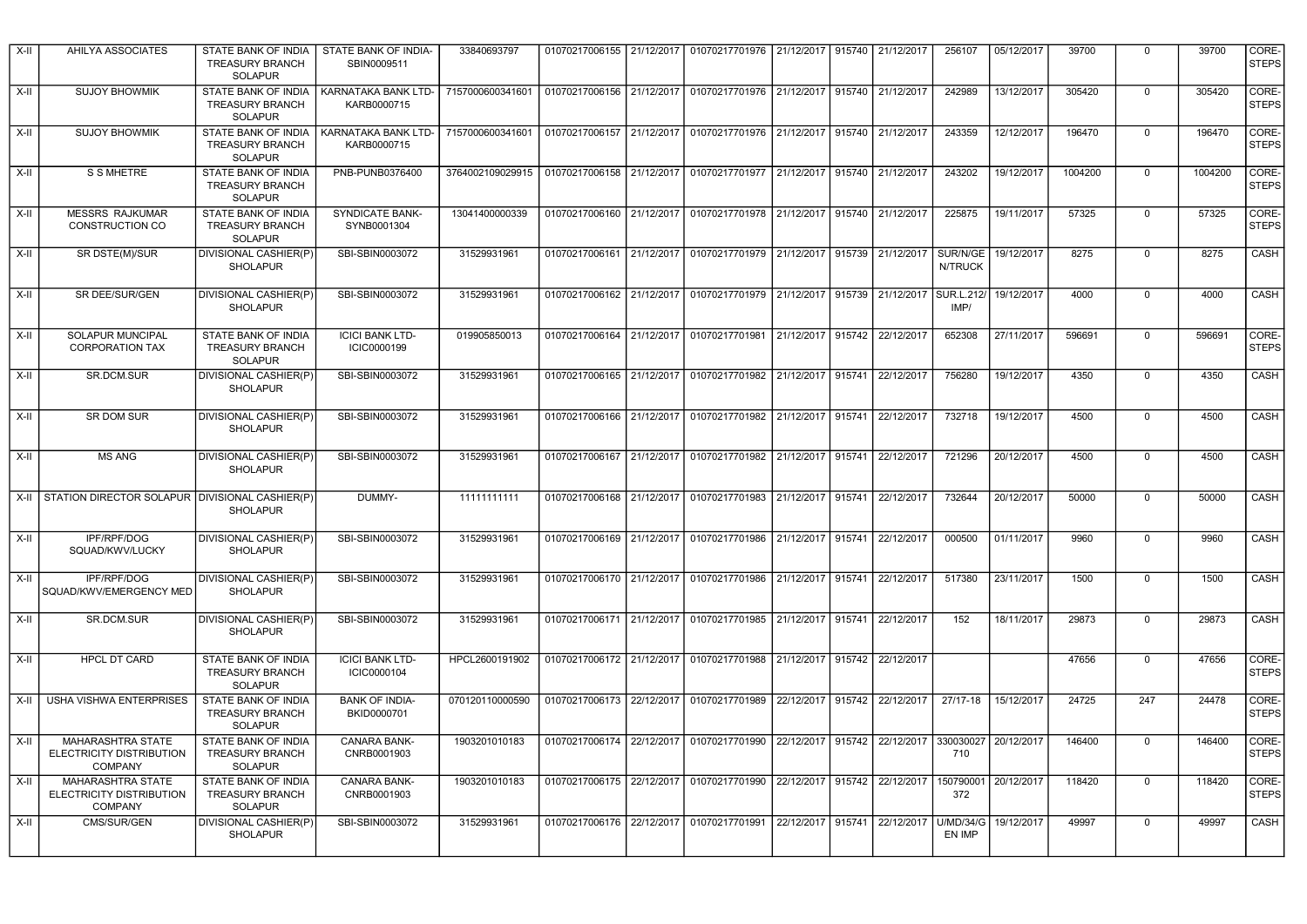| $X-H$  | AHILYA ASSOCIATES                                                      | STATE BANK OF INDIA<br><b>TREASURY BRANCH</b><br><b>SOLAPUR</b>        | STATE BANK OF INDIA-<br>SBIN0009511   | 33840693797                                                                            | 01070217006155 21/12/2017                | 01070217701976 21/12/2017 915740 21/12/2017                                     |                   |        |            | 256107                     | 05/12/2017 | 39700   | $\Omega$     | 39700   | CORE-<br><b>STEPS</b> |
|--------|------------------------------------------------------------------------|------------------------------------------------------------------------|---------------------------------------|----------------------------------------------------------------------------------------|------------------------------------------|---------------------------------------------------------------------------------|-------------------|--------|------------|----------------------------|------------|---------|--------------|---------|-----------------------|
| $X-II$ | <b>SUJOY BHOWMIK</b>                                                   | <b>STATE BANK OF INDIA</b><br><b>TREASURY BRANCH</b><br><b>SOLAPUR</b> | KARNATAKA BANK LTD-<br>KARB0000715    | 7157000600341601                                                                       | 01070217006156 21/12/2017                | 01070217701976 21/12/2017 915740 21/12/2017                                     |                   |        |            | 242989                     | 13/12/2017 | 305420  | $\mathbf 0$  | 305420  | CORE-<br><b>STEPS</b> |
| $X-II$ | <b>SUJOY BHOWMIK</b>                                                   | <b>STATE BANK OF INDIA</b><br><b>TREASURY BRANCH</b><br><b>SOLAPUR</b> | KARNATAKA BANK LTD-<br>KARB0000715    | 7157000600341601                                                                       |                                          | 01070217006157 21/12/2017 01070217701976 21/12/2017 915740                      |                   |        | 21/12/2017 | 243359                     | 12/12/2017 | 196470  | $\Omega$     | 196470  | CORE-<br><b>STEPS</b> |
| $X-II$ | S S MHETRE                                                             | STATE BANK OF INDIA<br><b>TREASURY BRANCH</b><br>SOLAPUR               | PNB-PUNB0376400                       | 3764002109029915 01070217006158 21/12/2017 01070217701977 21/12/2017 915740 21/12/2017 |                                          |                                                                                 |                   |        |            | 243202                     | 19/12/2017 | 1004200 | $\Omega$     | 1004200 | CORE-<br><b>STEPS</b> |
| $X-II$ | <b>MESSRS RAJKUMAR</b><br>CONSTRUCTION CO                              | STATE BANK OF INDIA<br><b>TREASURY BRANCH</b><br>SOLAPUR               | <b>SYNDICATE BANK-</b><br>SYNB0001304 | 13041400000339                                                                         |                                          | 01070217006160 21/12/2017 01070217701978 21/12/2017 915740 21/12/2017           |                   |        |            | 225875                     | 19/11/2017 | 57325   | $\mathbf{0}$ | 57325   | CORE-<br><b>STEPS</b> |
| $X-H$  | SR DSTE(M)/SUR                                                         | DIVISIONAL CASHIER(P)<br><b>SHOLAPUR</b>                               | SBI-SBIN0003072                       | 31529931961                                                                            |                                          | 01070217006161 21/12/2017 01070217701979 21/12/2017 915739 21/12/2017           |                   |        |            | SUR/N/GE<br>N/TRUCK        | 19/12/2017 | 8275    | $\Omega$     | 8275    | CASH                  |
| $X-II$ | SR DEE/SUR/GEN                                                         | DIVISIONAL CASHIER(P)<br><b>SHOLAPUR</b>                               | SBI-SBIN0003072                       | 31529931961                                                                            |                                          | 01070217006162 21/12/2017 01070217701979                                        | 21/12/2017        | 915739 | 21/12/2017 | SUR.L.212/<br>IMP/         | 19/12/2017 | 4000    | $\Omega$     | 4000    | CASH                  |
| $X-II$ | <b>SOLAPUR MUNCIPAL</b><br><b>CORPORATION TAX</b>                      | <b>STATE BANK OF INDIA</b><br><b>TREASURY BRANCH</b><br><b>SOLAPUR</b> | <b>ICICI BANK LTD-</b><br>ICIC0000199 | 019905850013                                                                           | 01070217006164 21/12/2017                | 01070217701981                                                                  | 21/12/2017        | 915742 | 22/12/2017 | 652308                     | 27/11/2017 | 596691  | $\Omega$     | 596691  | CORE-<br><b>STEPS</b> |
| $X-H$  | SR.DCM.SUR                                                             | DIVISIONAL CASHIER(P)<br><b>SHOLAPUR</b>                               | SBI-SBIN0003072                       | 31529931961                                                                            |                                          | 01070217006165 21/12/2017 01070217701982 21/12/2017                             |                   | 915741 | 22/12/2017 | 756280                     | 19/12/2017 | 4350    | $\mathbf 0$  | 4350    | CASH                  |
| $X-II$ | SR DOM SUR                                                             | <b>DIVISIONAL CASHIER(P)</b><br><b>SHOLAPUR</b>                        | SBI-SBIN0003072                       | 31529931961                                                                            | 01070217006166 21/12/2017                | 01070217701982 21/12/2017                                                       |                   | 915741 | 22/12/2017 | 732718                     | 19/12/2017 | 4500    | $\mathbf 0$  | 4500    | CASH                  |
| $X-II$ | <b>MS ANG</b>                                                          | DIVISIONAL CASHIER(P)<br><b>SHOLAPUR</b>                               | SBI-SBIN0003072                       | 31529931961                                                                            |                                          | 01070217006167 21/12/2017 01070217701982                                        | 21/12/2017        | 915741 | 22/12/2017 | 721296                     | 20/12/2017 | 4500    | $\mathbf 0$  | 4500    | CASH                  |
| X-II   | STATION DIRECTOR SOLAPUR DIVISIONAL CASHIER(P)                         | <b>SHOLAPUR</b>                                                        | DUMMY-                                | 11111111111                                                                            |                                          | 01070217006168 21/12/2017 01070217701983                                        | 21/12/2017 915741 |        | 22/12/2017 | 732644                     | 20/12/2017 | 50000   | $\mathbf 0$  | 50000   | CASH                  |
| $X-II$ | IPF/RPF/DOG<br>SQUAD/KWV/LUCKY                                         | DIVISIONAL CASHIER(P)<br><b>SHOLAPUR</b>                               | SBI-SBIN0003072                       | 31529931961                                                                            |                                          | 01070217006169 21/12/2017 01070217701986 21/12/2017 915741                      |                   |        | 22/12/2017 | 000500                     | 01/11/2017 | 9960    | $\mathbf 0$  | 9960    | <b>CASH</b>           |
| X-II   | IPF/RPF/DOG<br>SQUAD/KWV/EMERGENCY MED                                 | DIVISIONAL CASHIER(P)<br><b>SHOLAPUR</b>                               | SBI-SBIN0003072                       | 31529931961                                                                            |                                          | 01070217006170   21/12/2017   01070217701986   21/12/2017   915741   22/12/2017 |                   |        |            | 517380                     | 23/11/2017 | 1500    | $\mathbf 0$  | 1500    | CASH                  |
| X-II   | SR.DCM.SUR                                                             | DIVISIONAL CASHIER(P)<br><b>SHOLAPUR</b>                               | SBI-SBIN0003072                       | 31529931961                                                                            |                                          | 01070217006171 21/12/2017 01070217701985                                        | 21/12/2017        | 915741 | 22/12/2017 | 152                        | 18/11/2017 | 29873   | $\mathbf 0$  | 29873   | CASH                  |
| $X-II$ | <b>HPCL DT CARD</b>                                                    | STATE BANK OF INDIA<br><b>TREASURY BRANCH</b><br><b>SOLAPUR</b>        | <b>ICICI BANK LTD-</b><br>ICIC0000104 | HPCL2600191902                                                                         | 01070217006172 21/12/2017                | 01070217701988                                                                  | 21/12/2017 915742 |        | 22/12/2017 |                            |            | 47656   | $\mathbf 0$  | 47656   | CORE-<br><b>STEPS</b> |
| X-II   | <b>USHA VISHWA ENTERPRISES</b>                                         | STATE BANK OF INDIA<br><b>TREASURY BRANCH</b><br><b>SOLAPUR</b>        | <b>BANK OF INDIA-</b><br>BKID0000701  | 070120110000590                                                                        | 01070217006173 22/12/2017                | 01070217701989                                                                  | 22/12/2017 915742 |        | 22/12/2017 | $27/17 - 18$               | 15/12/2017 | 24725   | 247          | 24478   | CORE-<br><b>STEPS</b> |
| $X-II$ | MAHARASHTRA STATE<br>ELECTRICITY DISTRIBUTION<br><b>COMPANY</b>        | STATE BANK OF INDIA<br><b>TREASURY BRANCH</b><br><b>SOLAPUR</b>        | <b>CANARA BANK-</b><br>CNRB0001903    | 1903201010183                                                                          | 01070217006174 22/12/2017                | 01070217701990                                                                  | 22/12/2017 915742 |        | 22/12/2017 | 330030027<br>710           | 20/12/2017 | 146400  | $\mathbf 0$  | 146400  | CORE-<br><b>STEPS</b> |
| $X-II$ | <b>MAHARASHTRA STATE</b><br>ELECTRICITY DISTRIBUTION<br><b>COMPANY</b> | <b>STATE BANK OF INDIA</b><br>TREASURY BRANCH<br><b>SOLAPUR</b>        | <b>CANARA BANK-</b><br>CNRB0001903    | 1903201010183                                                                          | 01070217006175 22/12/2017                | 01070217701990                                                                  | 22/12/2017        | 915742 | 22/12/2017 | 150790001<br>372           | 20/12/2017 | 118420  | $\mathbf 0$  | 118420  | CORE-<br><b>STEPS</b> |
| $X-II$ | CMS/SUR/GEN                                                            | <b>DIVISIONAL CASHIER(P)</b><br>SHOLAPUR                               | SBI-SBIN0003072                       | 31529931961                                                                            | 01070217006176 22/12/2017 01070217701991 |                                                                                 | 22/12/2017 915741 |        | 22/12/2017 | <b>U/MD/34/G</b><br>EN IMP | 19/12/2017 | 49997   | $\Omega$     | 49997   | CASH                  |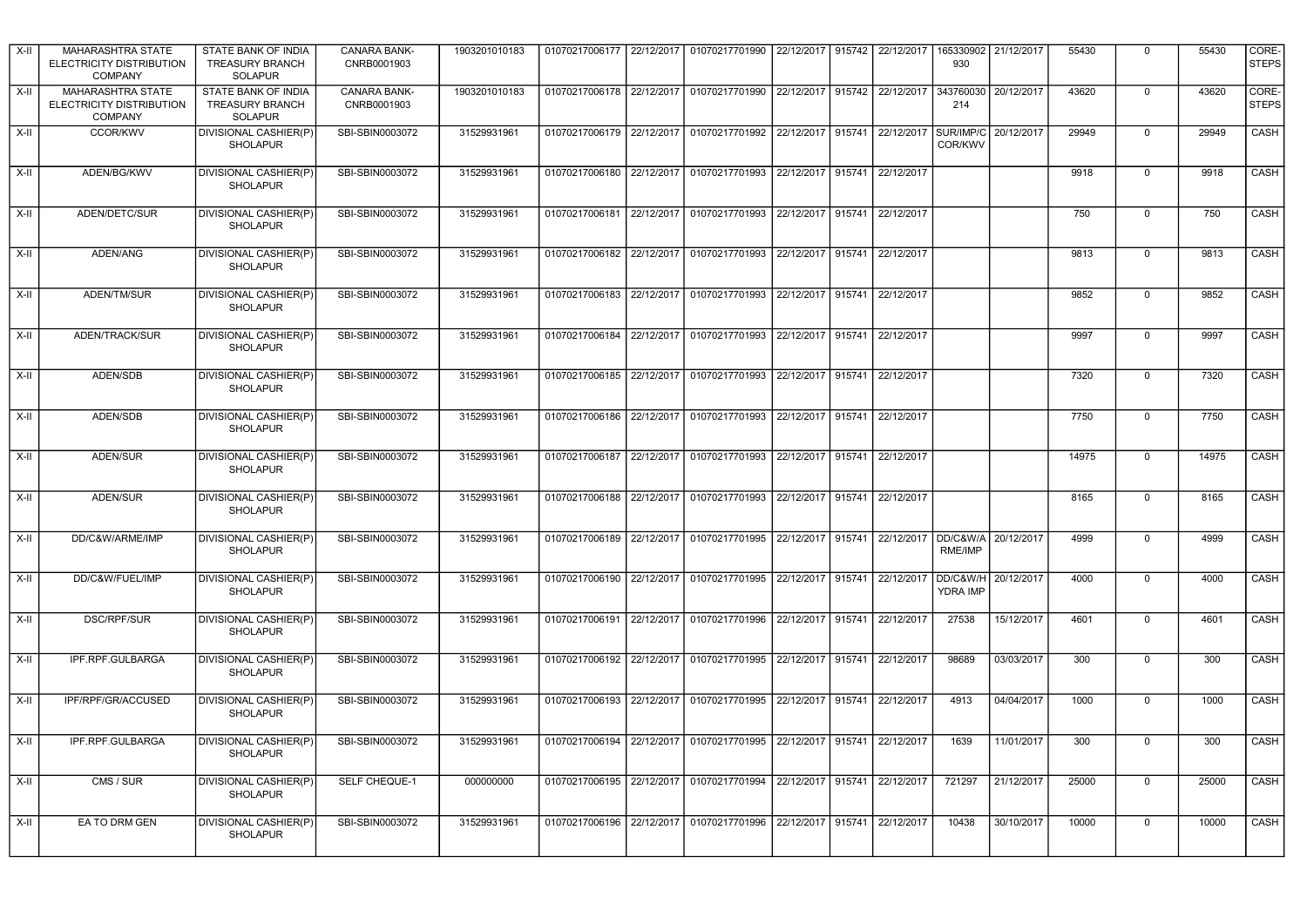| X-II   | MAHARASHTRA STATE<br><b>ELECTRICITY DISTRIBUTION</b><br><b>COMPANY</b> | STATE BANK OF INDIA<br><b>TREASURY BRANCH</b><br>SOLAPUR | CANARA BANK-<br>CNRB0001903 | 1903201010183 |                           |            | 01070217006177 22/12/2017 01070217701990 22/12/2017 915742 22/12/2017 |                   |        |                              | 930                                    | 165330902 21/12/2017 | 55430 | $\mathbf 0$    | 55430 | CORE-<br><b>STEPS</b> |
|--------|------------------------------------------------------------------------|----------------------------------------------------------|-----------------------------|---------------|---------------------------|------------|-----------------------------------------------------------------------|-------------------|--------|------------------------------|----------------------------------------|----------------------|-------|----------------|-------|-----------------------|
| X-II   | MAHARASHTRA STATE<br><b>ELECTRICITY DISTRIBUTION</b><br>COMPANY        | STATE BANK OF INDIA<br><b>TREASURY BRANCH</b><br>SOLAPUR | CANARA BANK-<br>CNRB0001903 | 1903201010183 | 01070217006178 22/12/2017 |            | 01070217701990                                                        |                   |        | 22/12/2017 915742 22/12/2017 | 343760030<br>214                       | 20/12/2017           | 43620 | $\Omega$       | 43620 | CORE-<br><b>STEPS</b> |
| X-II   | CCOR/KWV                                                               | DIVISIONAL CASHIER(P)<br><b>SHOLAPUR</b>                 | SBI-SBIN0003072             | 31529931961   |                           |            | 01070217006179 22/12/2017 01070217701992                              |                   |        | 22/12/2017 915741 22/12/2017 | SUR/IMP/C<br>COR/KWV                   | 20/12/2017           | 29949 | $\Omega$       | 29949 | CASH                  |
| $X-II$ | ADEN/BG/KWV                                                            | DIVISIONAL CASHIER(P)<br><b>SHOLAPUR</b>                 | SBI-SBIN0003072             | 31529931961   |                           |            | 01070217006180 22/12/2017 01070217701993 22/12/2017 915741 22/12/2017 |                   |        |                              |                                        |                      | 9918  | $\mathbf 0$    | 9918  | CASH                  |
| $X-II$ | ADEN/DETC/SUR                                                          | DIVISIONAL CASHIER(P)<br><b>SHOLAPUR</b>                 | SBI-SBIN0003072             | 31529931961   |                           |            | 01070217006181 22/12/2017 01070217701993 22/12/2017 915741 22/12/2017 |                   |        |                              |                                        |                      | 750   | $\mathbf 0$    | 750   | CASH                  |
| $X-H$  | ADEN/ANG                                                               | DIVISIONAL CASHIER(P)<br><b>SHOLAPUR</b>                 | SBI-SBIN0003072             | 31529931961   |                           |            | 01070217006182 22/12/2017 01070217701993 22/12/2017 915741 22/12/2017 |                   |        |                              |                                        |                      | 9813  | $\mathbf 0$    | 9813  | CASH                  |
| X-II   | ADEN/TM/SUR                                                            | DIVISIONAL CASHIER(P)<br><b>SHOLAPUR</b>                 | SBI-SBIN0003072             | 31529931961   | 01070217006183            |            | 22/12/2017 01070217701993                                             | 22/12/2017 915741 |        | 22/12/2017                   |                                        |                      | 9852  | $\mathbf 0$    | 9852  | CASH                  |
| X-II   | ADEN/TRACK/SUR                                                         | DIVISIONAL CASHIER(P)<br><b>SHOLAPUR</b>                 | SBI-SBIN0003072             | 31529931961   |                           |            | 01070217006184 22/12/2017 01070217701993                              | 22/12/2017        | 915741 | 22/12/2017                   |                                        |                      | 9997  | $\mathbf 0$    | 9997  | CASH                  |
| X-II   | ADEN/SDB                                                               | DIVISIONAL CASHIER(P)<br><b>SHOLAPUR</b>                 | SBI-SBIN0003072             | 31529931961   | 01070217006185 22/12/2017 |            | 01070217701993                                                        | 22/12/2017 915741 |        | 22/12/2017                   |                                        |                      | 7320  | $\mathbf 0$    | 7320  | CASH                  |
| X-II   | <b>ADEN/SDB</b>                                                        | DIVISIONAL CASHIER(P)<br><b>SHOLAPUR</b>                 | SBI-SBIN0003072             | 31529931961   | 01070217006186 22/12/2017 |            | 01070217701993                                                        | 22/12/2017 915741 |        | 22/12/2017                   |                                        |                      | 7750  | $\pmb{0}$      | 7750  | CASH                  |
| X-II   | ADEN/SUR                                                               | DIVISIONAL CASHIER(P)<br><b>SHOLAPUR</b>                 | SBI-SBIN0003072             | 31529931961   | 01070217006187 22/12/2017 |            | 01070217701993                                                        | 22/12/2017 915741 |        | 22/12/2017                   |                                        |                      | 14975 | $\pmb{0}$      | 14975 | <b>CASH</b>           |
| $X-II$ | ADEN/SUR                                                               | DIVISIONAL CASHIER(P)<br><b>SHOLAPUR</b>                 | SBI-SBIN0003072             | 31529931961   |                           |            | 01070217006188 22/12/2017 01070217701993 22/12/2017 915741            |                   |        | 22/12/2017                   |                                        |                      | 8165  | $\pmb{0}$      | 8165  | <b>CASH</b>           |
| $X-H$  | DD/C&W/ARME/IMP                                                        | DIVISIONAL CASHIER(P)<br>SHOLAPUR                        | SBI-SBIN0003072             | 31529931961   | 01070217006189 22/12/2017 |            | 01070217701995 22/12/2017 915741 22/12/2017                           |                   |        |                              | DD/C&W/A 20/12/2017<br>RME/IMP         |                      | 4999  | $\overline{0}$ | 4999  | CASH                  |
| $X-H$  | DD/C&W/FUEL/IMP                                                        | DIVISIONAL CASHIER(P)<br><b>SHOLAPUR</b>                 | SBI-SBIN0003072             | 31529931961   | 01070217006190            | 22/12/2017 | 01070217701995 22/12/2017 915741 22/12/2017                           |                   |        |                              | DD/C&W/H 20/12/2017<br><b>YDRA IMP</b> |                      | 4000  | $\mathbf 0$    | 4000  | CASH                  |
| $X-II$ | <b>DSC/RPF/SUR</b>                                                     | DIVISIONAL CASHIER(P)<br>SHOLAPUR                        | SBI-SBIN0003072             | 31529931961   |                           |            | 01070217006191 22/12/2017 01070217701996                              | 22/12/2017        | 915741 | 22/12/2017                   | 27538                                  | 15/12/2017           | 4601  | $\mathbf 0$    | 4601  | CASH                  |
| $X-H$  | IPF.RPF.GULBARGA                                                       | DIVISIONAL CASHIER(P)<br><b>SHOLAPUR</b>                 | SBI-SBIN0003072             | 31529931961   |                           |            | 01070217006192 22/12/2017 01070217701995 22/12/2017 915741            |                   |        | 22/12/2017                   | 98689                                  | 03/03/2017           | 300   | $\mathbf 0$    | 300   | CASH                  |
| X-II   | IPF/RPF/GR/ACCUSED                                                     | DIVISIONAL CASHIER(P)<br><b>SHOLAPUR</b>                 | SBI-SBIN0003072             | 31529931961   | 01070217006193 22/12/2017 |            | 01070217701995                                                        | 22/12/2017        | 915741 | 22/12/2017                   | 4913                                   | 04/04/2017           | 1000  | $\mathbf 0$    | 1000  | CASH                  |
| $X-II$ | IPF.RPF.GULBARGA                                                       | DIVISIONAL CASHIER(P)<br>SHOLAPUR                        | SBI-SBIN0003072             | 31529931961   |                           |            | 01070217006194 22/12/2017 01070217701995                              | 22/12/2017 915741 |        | 22/12/2017                   | 1639                                   | 11/01/2017           | 300   | $\overline{0}$ | 300   | CASH                  |
| X-II   | CMS / SUR                                                              | DIVISIONAL CASHIER(P)<br><b>SHOLAPUR</b>                 | SELF CHEQUE-1               | 000000000     |                           |            | 01070217006195 22/12/2017 01070217701994                              | 22/12/2017        | 915741 | 22/12/2017                   | 721297                                 | 21/12/2017           | 25000 | $\mathbf{0}$   | 25000 | CASH                  |
| X-II   | EA TO DRM GEN                                                          | DIVISIONAL CASHIER(P)<br><b>SHOLAPUR</b>                 | SBI-SBIN0003072             | 31529931961   | 01070217006196            | 22/12/2017 | 01070217701996                                                        | 22/12/2017 915741 |        | 22/12/2017                   | 10438                                  | 30/10/2017           | 10000 | $\Omega$       | 10000 | CASH                  |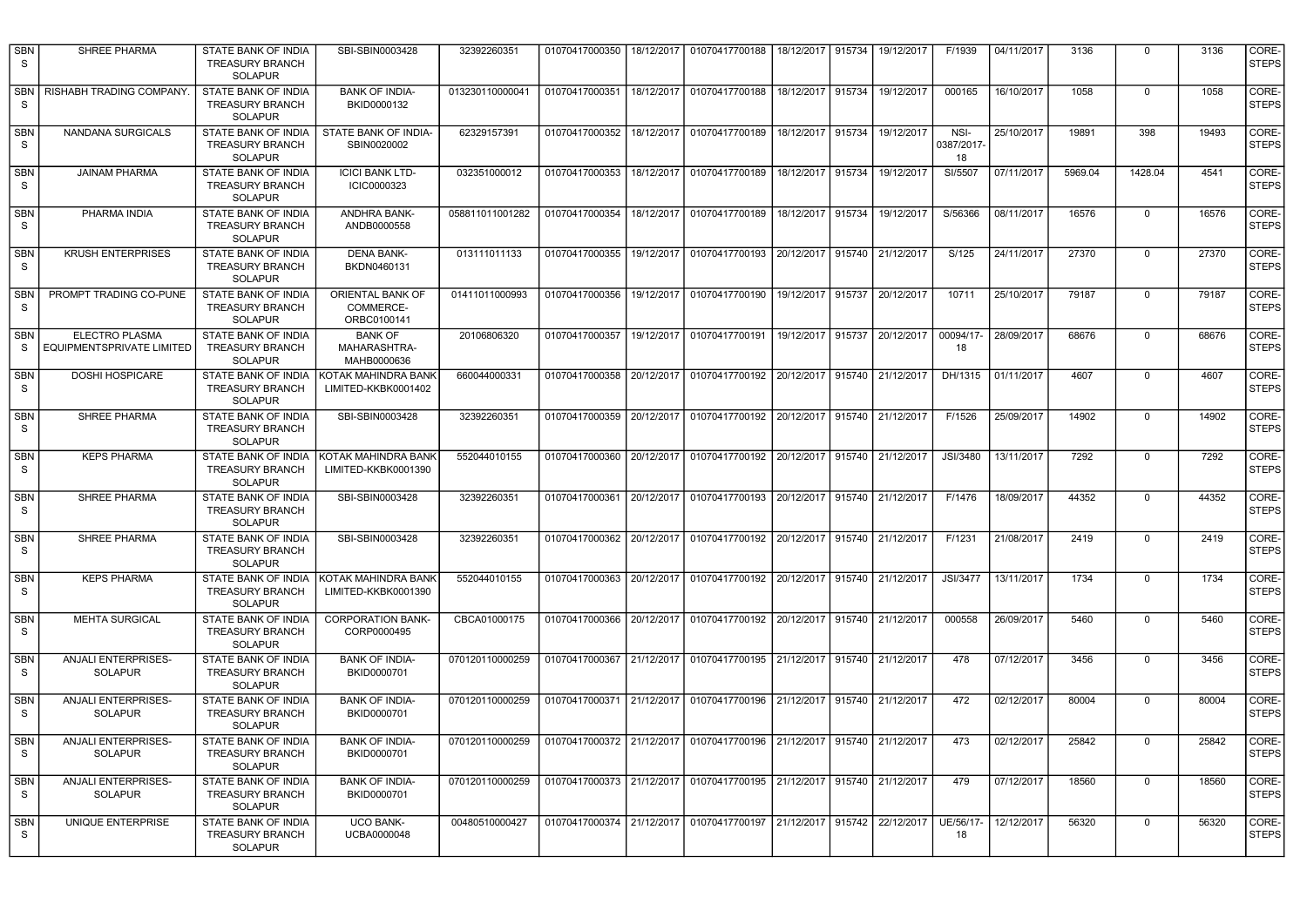| <b>SBN</b><br>-S           | SHREE PHARMA                                 | STATE BANK OF INDIA<br><b>TREASURY BRANCH</b><br>SOLAPUR               | SBI-SBIN0003428                               | 32392260351     | 01070417000350            |            | 18/12/2017   01070417700188                                           | 18/12/2017                   | 915734 | 19/12/2017 | F/1939                  | 04/11/2017 | 3136    | $\Omega$    | 3136  | CORE-<br><b>STEPS</b> |
|----------------------------|----------------------------------------------|------------------------------------------------------------------------|-----------------------------------------------|-----------------|---------------------------|------------|-----------------------------------------------------------------------|------------------------------|--------|------------|-------------------------|------------|---------|-------------|-------|-----------------------|
| -S                         | SBN   RISHABH TRADING COMPANY.               | STATE BANK OF INDIA<br><b>TREASURY BRANCH</b><br><b>SOLAPUR</b>        | <b>BANK OF INDIA-</b><br>BKID0000132          | 013230110000041 | 01070417000351            | 18/12/2017 | 01070417700188                                                        | 18/12/2017                   | 915734 | 19/12/2017 | 000165                  | 16/10/2017 | 1058    | $\Omega$    | 1058  | CORE-<br><b>STEPS</b> |
| <b>SBN</b><br>S            | NANDANA SURGICALS                            | STATE BANK OF INDIA<br>TREASURY BRANCH<br><b>SOLAPUR</b>               | STATE BANK OF INDIA-<br>SBIN0020002           | 62329157391     | 01070417000352            |            | 18/12/2017 01070417700189                                             | 18/12/2017                   | 915734 | 19/12/2017 | NSI-<br>0387/2017<br>18 | 25/10/2017 | 19891   | 398         | 19493 | CORE-<br><b>STEPS</b> |
| <b>SBN</b><br><sub>S</sub> | <b>JAINAM PHARMA</b>                         | STATE BANK OF INDIA<br><b>TREASURY BRANCH</b><br>SOLAPUR               | <b>ICICI BANK LTD-</b><br>ICIC0000323         | 032351000012    |                           |            | 01070417000353   18/12/2017   01070417700189                          | 18/12/2017 915734            |        | 19/12/2017 | SI/5507                 | 07/11/2017 | 5969.04 | 1428.04     | 4541  | CORE-<br><b>STEPS</b> |
| <b>SBN</b><br>S.           | PHARMA INDIA                                 | STATE BANK OF INDIA<br><b>TREASURY BRANCH</b><br><b>SOLAPUR</b>        | ANDHRA BANK-<br>ANDB0000558                   | 058811011001282 |                           |            | 01070417000354 18/12/2017 01070417700189                              | 18/12/2017 915734            |        | 19/12/2017 | S/56366                 | 08/11/2017 | 16576   | $\mathbf 0$ | 16576 | CORE-<br><b>STEPS</b> |
| <b>SBN</b><br>S            | <b>KRUSH ENTERPRISES</b>                     | <b>STATE BANK OF INDIA</b><br><b>TREASURY BRANCH</b><br><b>SOLAPUR</b> | <b>DENA BANK-</b><br>BKDN0460131              | 013111011133    | 01070417000355            | 19/12/2017 | 01070417700193                                                        | 20/12/2017 915740 21/12/2017 |        |            | S/125                   | 24/11/2017 | 27370   | $\mathbf 0$ | 27370 | CORE-<br><b>STEPS</b> |
| <b>SBN</b><br>S            | PROMPT TRADING CO-PUNE                       | STATE BANK OF INDIA<br><b>TREASURY BRANCH</b><br><b>SOLAPUR</b>        | ORIENTAL BANK OF<br>COMMERCE-<br>ORBC0100141  | 01411011000993  | 01070417000356            | 19/12/2017 | 01070417700190                                                        | 19/12/2017                   | 915737 | 20/12/2017 | 10711                   | 25/10/2017 | 79187   | $\mathbf 0$ | 79187 | CORE-<br><b>STEPS</b> |
| <b>SBN</b><br>S            | ELECTRO PLASMA<br>EQUIPMENTSPRIVATE LIMITED  | STATE BANK OF INDIA<br><b>TREASURY BRANCH</b><br><b>SOLAPUR</b>        | <b>BANK OF</b><br>MAHARASHTRA-<br>MAHB0000636 | 20106806320     | 01070417000357            | 19/12/2017 | 01070417700191                                                        | 19/12/2017                   | 915737 | 20/12/2017 | 00094/17-<br>18         | 28/09/2017 | 68676   | $\mathbf 0$ | 68676 | CORE-<br><b>STEPS</b> |
| <b>SBN</b><br>S            | <b>DOSHI HOSPICARE</b>                       | STATE BANK OF INDIA<br><b>TREASURY BRANCH</b><br><b>SOLAPUR</b>        | KOTAK MAHINDRA BANK<br>LIMITED-KKBK0001402    | 660044000331    | 01070417000358            | 20/12/2017 | 01070417700192                                                        | 20/12/2017                   | 915740 | 21/12/2017 | DH/1315                 | 01/11/2017 | 4607    | $\mathbf 0$ | 4607  | CORE-<br><b>STEPS</b> |
| <b>SBN</b><br>S            | SHREE PHARMA                                 | STATE BANK OF INDIA<br><b>TREASURY BRANCH</b><br><b>SOLAPUR</b>        | SBI-SBIN0003428                               | 32392260351     | 01070417000359 20/12/2017 |            | 01070417700192                                                        | 20/12/2017 915740            |        | 21/12/2017 | F/1526                  | 25/09/2017 | 14902   | $\mathbf 0$ | 14902 | CORE-<br><b>STEPS</b> |
| <b>SBN</b><br>S            | <b>KEPS PHARMA</b>                           | <b>STATE BANK OF INDIA</b><br><b>TREASURY BRANCH</b><br><b>SOLAPUR</b> | KOTAK MAHINDRA BANK<br>LIMITED-KKBK0001390    | 552044010155    | 01070417000360            |            | 20/12/2017 01070417700192                                             | 20/12/2017 915740            |        | 21/12/2017 | JSI/3480                | 13/11/2017 | 7292    | $\mathbf 0$ | 7292  | CORE-<br><b>STEPS</b> |
| <b>SBN</b><br>-S           | SHREE PHARMA                                 | STATE BANK OF INDIA<br><b>TREASURY BRANCH</b><br><b>SOLAPUR</b>        | SBI-SBIN0003428                               | 32392260351     |                           |            | 01070417000361 20/12/2017 01070417700193                              | 20/12/2017 915740            |        | 21/12/2017 | F/1476                  | 18/09/2017 | 44352   | $\mathbf 0$ | 44352 | CORE-<br><b>STEPS</b> |
| <b>SBN</b><br>S.           | SHREE PHARMA                                 | STATE BANK OF INDIA<br><b>TREASURY BRANCH</b><br><b>SOLAPUR</b>        | SBI-SBIN0003428                               | 32392260351     |                           |            | 01070417000362 20/12/2017 01070417700192 20/12/2017 915740 21/12/2017 |                              |        |            | F/1231                  | 21/08/2017 | 2419    | $\mathbf 0$ | 2419  | CORE-<br><b>STEPS</b> |
| <b>SBN</b><br>S            | <b>KEPS PHARMA</b>                           | STATE BANK OF INDIA<br><b>TREASURY BRANCH</b><br><b>SOLAPUR</b>        | KOTAK MAHINDRA BANK<br>LIMITED-KKBK0001390    | 552044010155    | 01070417000363            |            | 20/12/2017   01070417700192                                           | 20/12/2017 915740            |        | 21/12/2017 | <b>JSI/3477</b>         | 13/11/2017 | 1734    | 0           | 1734  | CORE-<br><b>STEPS</b> |
| <b>SBN</b><br>S            | <b>MEHTA SURGICAL</b>                        | STATE BANK OF INDIA<br><b>TREASURY BRANCH</b><br><b>SOLAPUR</b>        | <b>CORPORATION BANK-</b><br>CORP0000495       | CBCA01000175    | 01070417000366 20/12/2017 |            | 01070417700192                                                        | 20/12/2017                   | 915740 | 21/12/2017 | 000558                  | 26/09/2017 | 5460    | $\mathsf 0$ | 5460  | CORE-<br><b>STEPS</b> |
| SBN<br>S                   | <b>ANJALI ENTERPRISES-</b><br><b>SOLAPUR</b> | STATE BANK OF INDIA<br><b>TREASURY BRANCH</b><br>SOLAPUR               | <b>BANK OF INDIA-</b><br>BKID0000701          | 070120110000259 | 01070417000367 21/12/2017 |            | 01070417700195                                                        | 21/12/2017                   | 915740 | 21/12/2017 | 478                     | 07/12/2017 | 3456    | $\mathsf 0$ | 3456  | CORE-<br><b>STEPS</b> |
| <b>SBN</b><br>S            | ANJALI ENTERPRISES-<br><b>SOLAPUR</b>        | STATE BANK OF INDIA<br><b>TREASURY BRANCH</b><br>SOLAPUR               | <b>BANK OF INDIA-</b><br>BKID0000701          | 070120110000259 | 01070417000371 21/12/2017 |            | 01070417700196                                                        | 21/12/2017                   | 915740 | 21/12/2017 | 472                     | 02/12/2017 | 80004   | $\mathsf 0$ | 80004 | CORE-<br><b>STEPS</b> |
| <b>SBN</b><br>S.           | <b>ANJALI ENTERPRISES-</b><br><b>SOLAPUR</b> | STATE BANK OF INDIA<br><b>TREASURY BRANCH</b><br>SOLAPUR               | <b>BANK OF INDIA-</b><br>BKID0000701          | 070120110000259 | 01070417000372 21/12/2017 |            | 01070417700196                                                        | 21/12/2017 915740 21/12/2017 |        |            | 473                     | 02/12/2017 | 25842   | $\Omega$    | 25842 | CORE-<br><b>STEPS</b> |
| <b>SBN</b><br>S.           | ANJALI ENTERPRISES-<br><b>SOLAPUR</b>        | STATE BANK OF INDIA<br><b>TREASURY BRANCH</b><br><b>SOLAPUR</b>        | <b>BANK OF INDIA-</b><br>BKID0000701          | 070120110000259 | 01070417000373 21/12/2017 |            | 01070417700195                                                        | 21/12/2017 915740            |        | 21/12/2017 | 479                     | 07/12/2017 | 18560   | $\mathbf 0$ | 18560 | CORE-<br><b>STEPS</b> |
| <b>SBN</b><br>S.           | UNIQUE ENTERPRISE                            | STATE BANK OF INDIA<br><b>TREASURY BRANCH</b><br><b>SOLAPUR</b>        | <b>UCO BANK-</b><br>UCBA0000048               | 00480510000427  | 01070417000374 21/12/2017 |            | 01070417700197                                                        | 21/12/2017                   | 915742 | 22/12/2017 | UE/56/17<br>18          | 12/12/2017 | 56320   | $\Omega$    | 56320 | CORE-<br><b>STEPS</b> |